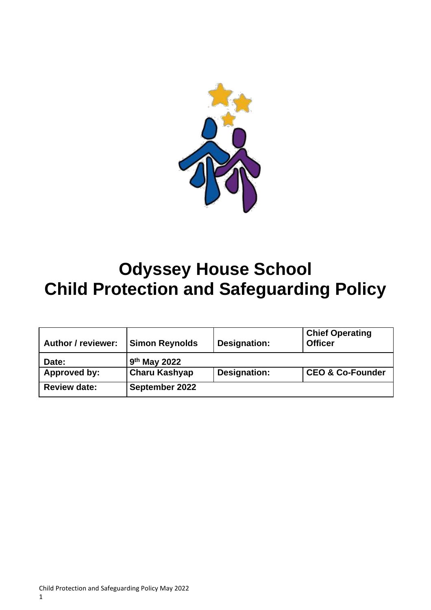

# **Odyssey House School Child Protection and Safeguarding Policy**

| <b>Author / reviewer:</b> | <b>Simon Reynolds</b>    | Designation: | <b>Chief Operating</b><br><b>Officer</b> |
|---------------------------|--------------------------|--------------|------------------------------------------|
| Date:                     | 9 <sup>th</sup> May 2022 |              |                                          |
| Approved by:              | <b>Charu Kashyap</b>     | Designation: | <b>CEO &amp; Co-Founder</b>              |
| <b>Review date:</b>       | September 2022           |              |                                          |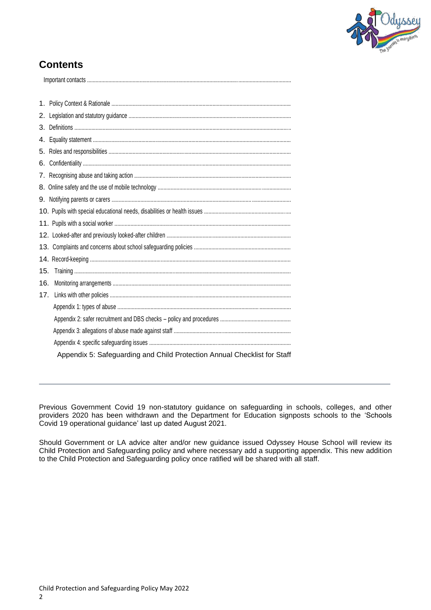

# **Contents**

| 2.  |                                                                          |
|-----|--------------------------------------------------------------------------|
| 3.  |                                                                          |
|     |                                                                          |
|     |                                                                          |
| 6.  |                                                                          |
|     |                                                                          |
|     |                                                                          |
|     |                                                                          |
|     |                                                                          |
|     |                                                                          |
|     |                                                                          |
|     |                                                                          |
|     |                                                                          |
| 15. |                                                                          |
| 16. |                                                                          |
| 17. |                                                                          |
|     |                                                                          |
|     |                                                                          |
|     |                                                                          |
|     |                                                                          |
|     | Appendix 5: Safeguarding and Child Protection Annual Checklist for Staff |
|     |                                                                          |

Previous Government Covid 19 non-statutory guidance on safeguarding in schools, colleges, and other providers 2020 has been withdrawn and the Department for Education signposts schools to the 'Schools Covid 19 operational guidance' last up dated August 2021.

Should Government or LA advice alter and/or new guidance issued Odyssey House School will review its Child Protection and Safeguarding policy and where necessary add a supporting appendix. This new addition to the Child Protection and Safeguarding policy once ratified will be shared with all staff.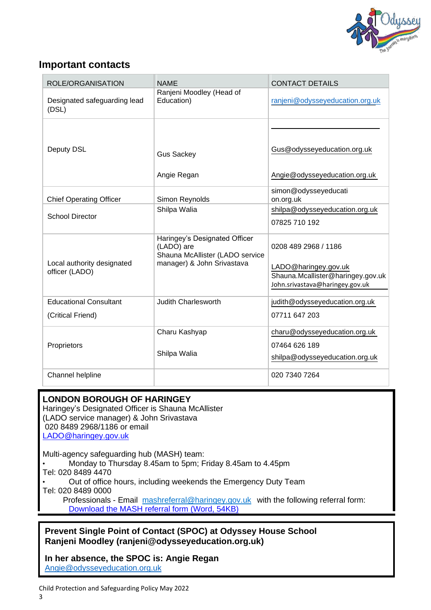

# <span id="page-2-0"></span>**Important contacts**

| ROLE/ORGANISATION                                  | <b>NAME</b>                                                                                                  | <b>CONTACT DETAILS</b>                                                                                               |
|----------------------------------------------------|--------------------------------------------------------------------------------------------------------------|----------------------------------------------------------------------------------------------------------------------|
| Designated safeguarding lead<br>(DSL)              | Ranjeni Moodley (Head of<br>Education)                                                                       | ranjeni@odysseyeducation.org.uk                                                                                      |
| Deputy DSL                                         | <b>Gus Sackey</b><br>Angie Regan                                                                             | Gus@odysseyeducation.org.uk<br>Angie@odysseyeducation.org.uk                                                         |
| <b>Chief Operating Officer</b>                     | Simon Reynolds                                                                                               | simon@odysseyeducati<br>on.org.uk                                                                                    |
| <b>School Director</b>                             | Shilpa Walia                                                                                                 | shilpa@odysseyeducation.org.uk<br>07825 710 192                                                                      |
| Local authority designated<br>officer (LADO)       | Haringey's Designated Officer<br>(LADO) are<br>Shauna McAllister (LADO service<br>manager) & John Srivastava | 0208 489 2968 / 1186<br>LADO@haringey.gov.uk<br>Shauna.Mcallister@haringey.gov.uk<br>John.srivastava@haringey.gov.uk |
| <b>Educational Consultant</b><br>(Critical Friend) | <b>Judith Charlesworth</b>                                                                                   | judith@odysseyeducation.org.uk<br>07711 647 203                                                                      |
| Proprietors                                        | Charu Kashyap<br>Shilpa Walia                                                                                | charu@odysseyeducation.org.uk<br>07464 626 189<br>shilpa@odysseyeducation.org.uk                                     |
| Channel helpline                                   |                                                                                                              | 020 7340 7264                                                                                                        |

# **LONDON BOROUGH OF HARINGEY**

Haringey's Designated Officer is Shauna McAllister (LADO service manager) & John Srivastava 020 8489 2968/1186 or email [LADO@haringey.gov.uk](mailto:LADO@haringey.gov.uk)

Multi-agency safeguarding hub (MASH) team: • Monday to Thursday 8.45am to 5pm; Friday 8.45am to 4.45pm Tel: 020 8489 4470 • Out of office hours, including weekends the Emergency Duty Team Tel: 020 8489 0000 Professionals - Email [mashreferral@haringey.gov.uk](mailto:mashreferral@haringey.gov.uk) with the following referral form: [Download the MASH referral form \(Word, 54KB\)](https://www.haringey.gov.uk/sites/haringeygovuk/files/mash_referral_form_march_2018.docx)

# **Prevent Single Point of Contact (SPOC) at Odyssey House School Ranjeni Moodley (ranjeni@odysseyeducation.org.uk)**

# **In her absence, the SPOC is: Angie Regan**

[Angie@odysseyeducation.org.uk](mailto:Angie@odysseyeducation.org.uk)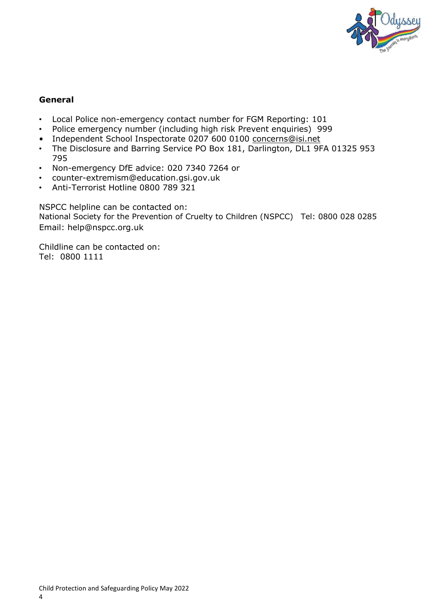

# **General**

- Local Police non-emergency contact number for FGM Reporting: 101
- Police emergency number (including high risk Prevent enquiries) 999
- Independent School Inspectorate 0207 600 0100 [concerns@isi.net](mailto:concerns@isi.net)
- The Disclosure and Barring Service PO Box 181, Darlington, DL1 9FA 01325 953 795
- Non-emergency DfE advice: 020 7340 7264 or
- counter-extremism@education.gsi.gov.uk
- Anti-Terrorist Hotline 0800 789 321

NSPCC helpline can be contacted on:

National Society for the Prevention of Cruelty to Children (NSPCC) Tel: 0800 028 0285 Email: help@nspcc.org.uk

Childline can be contacted on: Tel: 0800 1111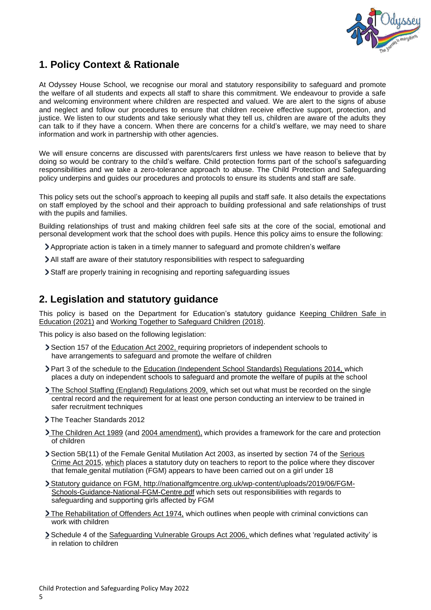

# <span id="page-4-0"></span>**1. Policy Context & Rationale**

At Odyssey House School, we recognise our moral and statutory responsibility to safeguard and promote the welfare of all students and expects all staff to share this commitment. We endeavour to provide a safe and welcoming environment where children are respected and valued. We are alert to the signs of abuse and neglect and follow our procedures to ensure that children receive effective support, protection, and justice. We listen to our students and take seriously what they tell us, children are aware of the adults they can talk to if they have a concern. When there are concerns for a child's welfare, we may need to share information and work in partnership with other agencies.

We will ensure concerns are discussed with parents/carers first unless we have reason to believe that by doing so would be contrary to the child's welfare. Child protection forms part of the school's safeguarding responsibilities and we take a zero-tolerance approach to abuse. The Child Protection and Safeguarding policy underpins and guides our procedures and protocols to ensure its students and staff are safe.

This policy sets out the school's approach to keeping all pupils and staff safe. It also details the expectations on staff employed by the school and their approach to building professional and safe relationships of trust with the pupils and families.

Building relationships of trust and making children feel safe sits at the core of the social, emotional and personal development work that the school does with pupils. Hence this policy aims to ensure the following:

- Appropriate action is taken in a timely manner to safeguard and promote children's welfare
- All staff are aware of their statutory responsibilities with respect to safeguarding
- Staff are properly training in recognising and reporting safeguarding issues

# **2. Legislation and statutory guidance**

This policy is based on the Department for Education's statutory guidance Keeping Children Safe in [Education](https://www.gov.uk/government/publications/keeping-children-safe-in-education--2) [\(2021\)](https://www.gov.uk/government/publications/keeping-children-safe-in-education--2) and [Working Together to Safeguard Children \(2018\).](https://www.gov.uk/government/publications/working-together-to-safeguard-children--2)

This policy is also based on the following legislation:

- Section 157 of the [Education Act 2002,](http://www.legislation.gov.uk/ukpga/2002/32/section/175) requiring proprietors of independent schools to have arrangements to safeguard and promote the welfare of children
- Part 3 of the schedule to the [Education \(Independent School Standards\) Regulations 2014,](http://www.legislation.gov.uk/uksi/2014/3283/schedule/part/3/made) which places a duty on independent schools to safeguard and promote the welfare of pupils at the school
- [The School Staffing \(England\) Regulations 2009,](http://www.legislation.gov.uk/uksi/2009/2680/contents/made) which set out what must be recorded on the single central record and the requirement for at least one person conducting an interview to be trained in safer recruitment techniques
- The Teacher Standards 2012
- [The Children Act 1989](http://www.legislation.gov.uk/ukpga/1989/41) (and [2004 amendment\),](http://www.legislation.gov.uk/ukpga/2004/31/contents) which provides a framework for the care and protection of children
- Section 5B(11) of the Female Genital Mutilation Act 2003, as inserted by section 74 of the Serious [Crime](http://www.legislation.gov.uk/ukpga/2015/9/part/5/crossheading/female-genital-mutilation) [Act 2015, w](http://www.legislation.gov.uk/ukpga/2015/9/part/5/crossheading/female-genital-mutilation)hich places a statutory duty on teachers to report to the police where they discover that female genital mutilation (FGM) appears to have been carried out on a girl under 18
- [Statutory guidance on FGM,](https://www.gov.uk/government/publications/multi-agency-statutory-guidance-on-female-genital-mutilation) [http://nationalfgmcentre.org.uk/wp-content/uploads/2019/06/FGM-](http://nationalfgmcentre.org.uk/wp-content/uploads/2019/06/FGM-Schools-Guidance-National-FGM-Centre.pdf)[Schools-Guidance-National-FGM-Centre.pdf](http://nationalfgmcentre.org.uk/wp-content/uploads/2019/06/FGM-Schools-Guidance-National-FGM-Centre.pdf) which sets out responsibilities with regards to safeguarding and supporting girls affected by FGM
- **[The Rehabilitation of Offenders Act 1974,](http://www.legislation.gov.uk/ukpga/1974/53) which outlines when people with criminal convictions can** work with children
- Schedule 4 of the [Safeguarding Vulnerable Groups](http://www.legislation.gov.uk/ukpga/2006/47/schedule/4) Act 2006, which defines what 'regulated activity' is in relation to children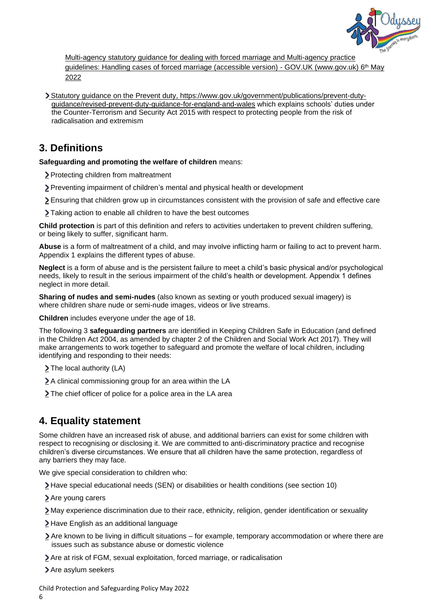

<span id="page-5-0"></span>Multi-agency statutory guidance for dealing with forced marriage and Multi-agency practice guidelines: Handling cases of forced marriage (accessible version) - GOV.UK (www.gov.uk) 6<sup>th</sup> May 2022

[Statutory guidance on the Prevent duty,](https://www.gov.uk/government/publications/prevent-duty-guidance) [https://www.gov.uk/government/publications/prevent-duty](https://www.gov.uk/government/publications/prevent-duty-guidance/revised-prevent-duty-guidance-for-england-and-wales)[guidance/revised-prevent-duty-guidance-for-england-and-wales](https://www.gov.uk/government/publications/prevent-duty-guidance/revised-prevent-duty-guidance-for-england-and-wales) which explains schools' duties under the Counter-Terrorism and Security Act 2015 with respect to protecting people from the risk of radicalisation and extremism

# **3. Definitions**

**Safeguarding and promoting the welfare of children** means:

**>** Protecting children from maltreatment

Preventing impairment of children's mental and physical health or development

Ensuring that children grow up in circumstances consistent with the provision of safe and effective care

Taking action to enable all children to have the best outcomes

**Child protection** is part of this definition and refers to activities undertaken to prevent children suffering, or being likely to suffer, significant harm.

**Abuse** is a form of maltreatment of a child, and may involve inflicting harm or failing to act to prevent harm. Appendix 1 explains the different types of abuse.

**Neglect** is a form of abuse and is the persistent failure to meet a child's basic physical and/or psychological needs, likely to result in the serious impairment of the child's health or development. Appendix 1 defines neglect in more detail.

**Sharing of nudes and semi-nudes** (also known as sexting or youth produced sexual imagery) is where children share nude or semi-nude images, videos or live streams.

**Children** includes everyone under the age of 18.

The following 3 **safeguarding partners** are identified in Keeping Children Safe in Education (and defined in the Children Act 2004, as amended by chapter 2 of the Children and Social Work Act 2017). They will make arrangements to work together to safeguard and promote the welfare of local children, including identifying and responding to their needs:

- $\geq$  The local authority (LA)
- A clinical commissioning group for an area within the LA

> The chief officer of police for a police area in the LA area

# **4. Equality statement**

Some children have an increased risk of abuse, and additional barriers can exist for some children with respect to recognising or disclosing it. We are committed to anti-discriminatory practice and recognise children's diverse circumstances. We ensure that all children have the same protection, regardless of any barriers they may face.

We give special consideration to children who:

Have special educational needs (SEN) or disabilities or health conditions (see section 10)

> Are young carers

May experience discrimination due to their race, ethnicity, religion, gender identification or sexuality

Have English as an additional language

Are known to be living in difficult situations – for example, temporary accommodation or where there are issues such as substance abuse or domestic violence

Are at risk of FGM, sexual exploitation, forced marriage, or radicalisation

> Are asylum seekers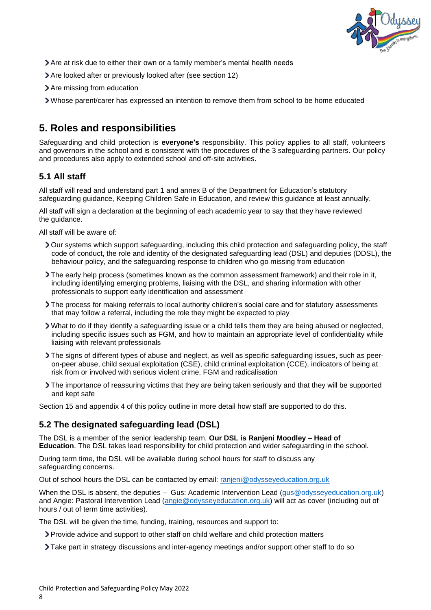

- <span id="page-7-0"></span>Are at risk due to either their own or a family member's mental health needs
- Are looked after or previously looked after (see section 12)
- > Are missing from education
- Whose parent/carer has expressed an intention to remove them from school to be home educated

# **5. Roles and responsibilities**

Safeguarding and child protection is **everyone's** responsibility. This policy applies to all staff, volunteers and governors in the school and is consistent with the procedures of the 3 safeguarding partners. Our policy and procedures also apply to extended school and off-site activities.

# **5.1 All staff**

All staff will read and understand part 1 and annex B of the Department for Education's statutory safeguarding guidance, [Keeping Children Safe in Education, a](https://www.gov.uk/government/publications/keeping-children-safe-in-education--2)nd review this guidance at least annually.

All staff will sign a declaration at the beginning of each academic year to say that they have reviewed the guidance.

All staff will be aware of:

- Our systems which support safeguarding, including this child protection and safeguarding policy, the staff code of conduct, the role and identity of the designated safeguarding lead (DSL) and deputies (DDSL), the behaviour policy, and the safeguarding response to children who go missing from education
- The early help process (sometimes known as the common assessment framework) and their role in it, including identifying emerging problems, liaising with the DSL, and sharing information with other professionals to support early identification and assessment
- The process for making referrals to local authority children's social care and for statutory assessments that may follow a referral, including the role they might be expected to play
- What to do if they identify a safeguarding issue or a child tells them they are being abused or neglected, including specific issues such as FGM, and how to maintain an appropriate level of confidentiality while liaising with relevant professionals
- The signs of different types of abuse and neglect, as well as specific safeguarding issues, such as peeron-peer abuse, child sexual exploitation (CSE), child criminal exploitation (CCE), indicators of being at risk from or involved with serious violent crime, FGM and radicalisation
- The importance of reassuring victims that they are being taken seriously and that they will be supported and kept safe

Section 15 and appendix 4 of this policy outline in more detail how staff are supported to do this.

# **5.2 The designated safeguarding lead (DSL)**

The DSL is a member of the senior leadership team. **Our DSL is Ranjeni Moodley – Head of Education**. The DSL takes lead responsibility for child protection and wider safeguarding in the school.

During term time, the DSL will be available during school hours for staff to discuss any safeguarding concerns.

Out of school hours the DSL can be contacted by email: [ranjeni@odysseyeducation.org.uk](mailto:ranjeni@odysseyeducation.org.uk)

When the DSL is absent, the deputies – Gus: Academic Intervention Lead [\(gus@odysseyeducation.org.uk\)](mailto:gus@odysseyeducation.org.uk) and Angie: Pastoral Intervention Lead [\(angie@odysseyeducation.org.uk\)](mailto:angie@odysseyeducation.org.uk) will act as cover (including out of hours / out of term time activities).

The DSL will be given the time, funding, training, resources and support to:

- Provide advice and support to other staff on child welfare and child protection matters
- Take part in strategy discussions and inter-agency meetings and/or support other staff to do so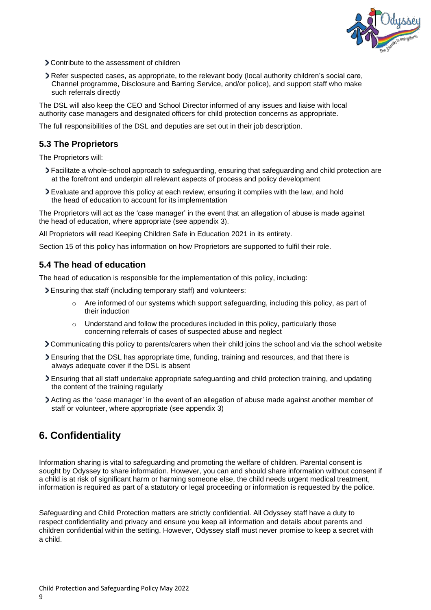

<span id="page-8-0"></span>Contribute to the assessment of children

Refer suspected cases, as appropriate, to the relevant body (local authority children's social care, Channel programme, Disclosure and Barring Service, and/or police), and support staff who make such referrals directly

The DSL will also keep the CEO and School Director informed of any issues and liaise with local authority case managers and designated officers for child protection concerns as appropriate.

The full responsibilities of the DSL and deputies are set out in their job description.

# **5.3 The Proprietors**

The Proprietors will:

- Facilitate a whole-school approach to safeguarding, ensuring that safeguarding and child protection are at the forefront and underpin all relevant aspects of process and policy development
- Evaluate and approve this policy at each review, ensuring it complies with the law, and hold the head of education to account for its implementation

The Proprietors will act as the 'case manager' in the event that an allegation of abuse is made against the head of education, where appropriate (see appendix 3).

All Proprietors will read Keeping Children Safe in Education 2021 in its entirety.

Section 15 of this policy has information on how Proprietors are supported to fulfil their role.

#### **5.4 The head of education**

The head of education is responsible for the implementation of this policy, including:

Ensuring that staff (including temporary staff) and volunteers:

- $\circ$  Are informed of our systems which support safeguarding, including this policy, as part of their induction
- $\circ$  Understand and follow the procedures included in this policy, particularly those concerning referrals of cases of suspected abuse and neglect
- Communicating this policy to parents/carers when their child joins the school and via the school website
- Ensuring that the DSL has appropriate time, funding, training and resources, and that there is always adequate cover if the DSL is absent
- Ensuring that all staff undertake appropriate safeguarding and child protection training, and updating the content of the training regularly
- Acting as the 'case manager' in the event of an allegation of abuse made against another member of staff or volunteer, where appropriate (see appendix 3)

# **6. Confidentiality**

Information sharing is vital to safeguarding and promoting the welfare of children. Parental consent is sought by Odyssey to share information. However, you can and should share information without consent if a child is at risk of significant harm or harming someone else, the child needs urgent medical treatment, information is required as part of a statutory or legal proceeding or information is requested by the police.

Safeguarding and Child Protection matters are strictly confidential. All Odyssey staff have a duty to respect confidentiality and privacy and ensure you keep all information and details about parents and children confidential within the setting. However, Odyssey staff must never promise to keep a secret with a child.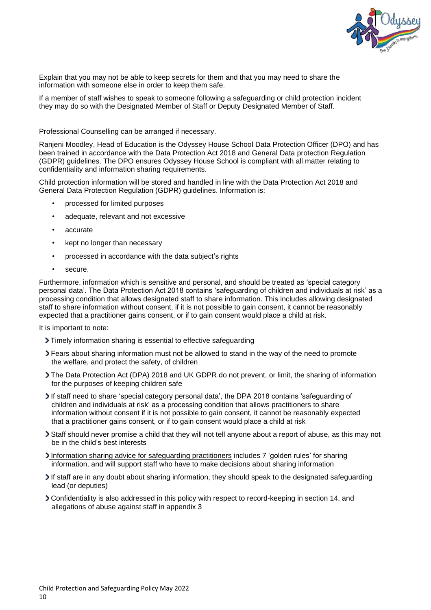

<span id="page-9-0"></span>Explain that you may not be able to keep secrets for them and that you may need to share the information with someone else in order to keep them safe.

If a member of staff wishes to speak to someone following a safeguarding or child protection incident they may do so with the Designated Member of Staff or Deputy Designated Member of Staff.

#### Professional Counselling can be arranged if necessary.

Ranjeni Moodley, Head of Education is the Odyssey House School Data Protection Officer (DPO) and has been trained in accordance with the Data Protection Act 2018 and General Data protection Regulation (GDPR) guidelines. The DPO ensures Odyssey House School is compliant with all matter relating to confidentiality and information sharing requirements.

Child protection information will be stored and handled in line with the Data Protection Act 2018 and General Data Protection Regulation (GDPR) guidelines. Information is:

- processed for limited purposes
- adequate, relevant and not excessive
- accurate
- kept no longer than necessary
- processed in accordance with the data subject's rights
- secure.

Furthermore, information which is sensitive and personal, and should be treated as 'special category personal data'. The Data Protection Act 2018 contains 'safeguarding of children and individuals at risk' as a processing condition that allows designated staff to share information. This includes allowing designated staff to share information without consent, if it is not possible to gain consent, it cannot be reasonably expected that a practitioner gains consent, or if to gain consent would place a child at risk.

#### It is important to note:

- Timely information sharing is essential to effective safeguarding
- Fears about sharing information must not be allowed to stand in the way of the need to promote the welfare, and protect the safety, of children
- The Data Protection Act (DPA) 2018 and UK GDPR do not prevent, or limit, the sharing of information for the purposes of keeping children safe
- If staff need to share 'special category personal data', the DPA 2018 contains 'safeguarding of children and individuals at risk' as a processing condition that allows practitioners to share information without consent if it is not possible to gain consent, it cannot be reasonably expected that a practitioner gains consent, or if to gain consent would place a child at risk
- Staff should never promise a child that they will not tell anyone about a report of abuse, as this may not be in the child's best interests
- [Information sharing advice for safeguarding practitioners](https://www.gov.uk/government/publications/safeguarding-practitioners-information-sharing-advice) includes 7 'golden rules' for sharing information, and will support staff who have to make decisions about sharing information
- If staff are in any doubt about sharing information, they should speak to the designated safeguarding lead (or deputies)
- Confidentiality is also addressed in this policy with respect to record-keeping in section 14, and allegations of abuse against staff in appendix 3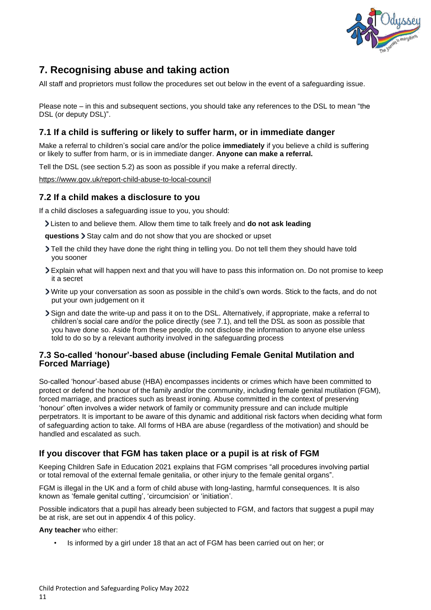

# **7. Recognising abuse and taking action**

All staff and proprietors must follow the procedures set out below in the event of a safeguarding issue.

Please note – in this and subsequent sections, you should take any references to the DSL to mean "the DSL (or deputy DSL)".

# **7.1 If a child is suffering or likely to suffer harm, or in immediate danger**

Make a referral to children's social care and/or the police **immediately** if you believe a child is suffering or likely to suffer from harm, or is in immediate danger. **Anyone can make a referral.**

Tell the DSL (see section 5.2) as soon as possible if you make a referral directly.

<https://www.gov.uk/report-child-abuse-to-local-council>

# **7.2 If a child makes a disclosure to you**

If a child discloses a safeguarding issue to you, you should:

Listen to and believe them. Allow them time to talk freely and **do not ask leading** 

**questions** > Stay calm and do not show that you are shocked or upset

- Tell the child they have done the right thing in telling you. Do not tell them they should have told you sooner
- Explain what will happen next and that you will have to pass this information on. Do not promise to keep it a secret
- Write up your conversation as soon as possible in the child's own words. Stick to the facts, and do not put your own judgement on it
- Sign and date the write-up and pass it on to the DSL. Alternatively, if appropriate, make a referral to children's social care and/or the police directly (see 7.1), and tell the DSL as soon as possible that you have done so. Aside from these people, do not disclose the information to anyone else unless told to do so by a relevant authority involved in the safeguarding process

# **7.3 So-called 'honour'-based abuse (including Female Genital Mutilation and Forced Marriage)**

So-called 'honour'-based abuse (HBA) encompasses incidents or crimes which have been committed to protect or defend the honour of the family and/or the community, including female genital mutilation (FGM), forced marriage, and practices such as breast ironing. Abuse committed in the context of preserving 'honour' often involves a wider network of family or community pressure and can include multiple perpetrators. It is important to be aware of this dynamic and additional risk factors when deciding what form of safeguarding action to take. All forms of HBA are abuse (regardless of the motivation) and should be handled and escalated as such.

# **If you discover that FGM has taken place or a pupil is at risk of FGM**

Keeping Children Safe in Education 2021 explains that FGM comprises "all procedures involving partial or total removal of the external female genitalia, or other injury to the female genital organs".

FGM is illegal in the UK and a form of child abuse with long-lasting, harmful consequences. It is also known as 'female genital cutting', 'circumcision' or 'initiation'.

Possible indicators that a pupil has already been subjected to FGM, and factors that suggest a pupil may be at risk, are set out in appendix 4 of this policy.

**Any teacher** who either:

• Is informed by a girl under 18 that an act of FGM has been carried out on her; or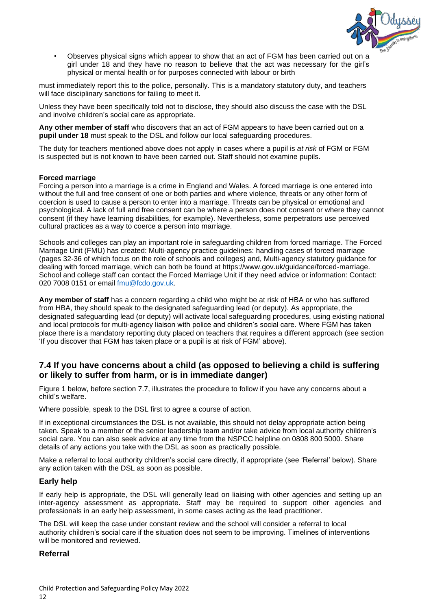

• Observes physical signs which appear to show that an act of FGM has been carried out on a girl under 18 and they have no reason to believe that the act was necessary for the girl's physical or mental health or for purposes connected with labour or birth

must immediately report this to the police, personally. This is a mandatory statutory duty, and teachers will face disciplinary sanctions for failing to meet it.

Unless they have been specifically told not to disclose, they should also discuss the case with the DSL and involve children's social care as appropriate.

**Any other member of staff** who discovers that an act of FGM appears to have been carried out on a **pupil under 18** must speak to the DSL and follow our local safeguarding procedures.

The duty for teachers mentioned above does not apply in cases where a pupil is *at risk* of FGM or FGM is suspected but is not known to have been carried out. Staff should not examine pupils.

#### **Forced marriage**

Forcing a person into a marriage is a crime in England and Wales. A forced marriage is one entered into without the full and free consent of one or both parties and where violence, threats or any other form of coercion is used to cause a person to enter into a marriage. Threats can be physical or emotional and psychological. A lack of full and free consent can be where a person does not consent or where they cannot consent (if they have learning disabilities, for example). Nevertheless, some perpetrators use perceived cultural practices as a way to coerce a person into marriage.

Schools and colleges can play an important role in safeguarding children from forced marriage. The Forced Marriage Unit (FMU) has created: Multi-agency practice guidelines: handling cases of forced marriage (pages 32-36 of which focus on the role of schools and colleges) and, Multi-agency statutory guidance for dealing with forced marriage, which can both be found at https://www.gov.uk/guidance/forced-marriage. School and college staff can contact the Forced Marriage Unit if they need advice or information: Contact: 020 7008 0151 or email [fmu@fcdo.gov.uk.](mailto:fmu@fcdo.gov.uk)

**Any member of staff** has a concern regarding a child who might be at risk of HBA or who has suffered from HBA, they should speak to the designated safeguarding lead (or deputy). As appropriate, the designated safeguarding lead (or deputy) will activate local safeguarding procedures, using existing national and local protocols for multi-agency liaison with police and children's social care. Where FGM has taken place there is a mandatory reporting duty placed on teachers that requires a different approach (see section 'If you discover that FGM has taken place or a pupil is at risk of FGM' above).

# **7.4 If you have concerns about a child (as opposed to believing a child is suffering or likely to suffer from harm, or is in immediate danger)**

Figure 1 below, before section 7.7, illustrates the procedure to follow if you have any concerns about a child's welfare.

Where possible, speak to the DSL first to agree a course of action.

If in exceptional circumstances the DSL is not available, this should not delay appropriate action being taken. Speak to a member of the senior leadership team and/or take advice from local authority children's social care. You can also seek advice at any time from the NSPCC helpline on 0808 800 5000. Share details of any actions you take with the DSL as soon as practically possible.

Make a referral to local authority children's social care directly, if appropriate (see 'Referral' below). Share any action taken with the DSL as soon as possible.

#### **Early help**

If early help is appropriate, the DSL will generally lead on liaising with other agencies and setting up an inter-agency assessment as appropriate. Staff may be required to support other agencies and professionals in an early help assessment, in some cases acting as the lead practitioner.

The DSL will keep the case under constant review and the school will consider a referral to local authority children's social care if the situation does not seem to be improving. Timelines of interventions will be monitored and reviewed.

#### **Referral**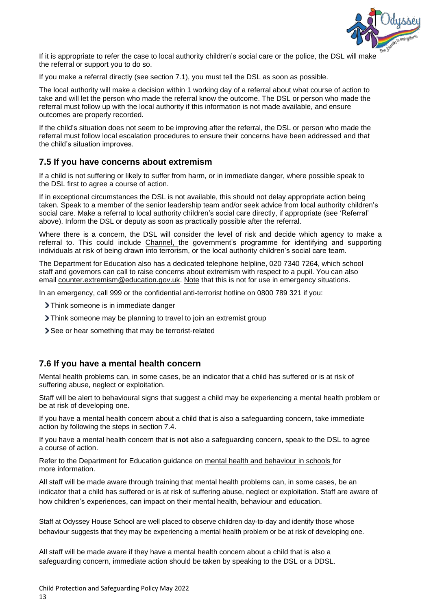

If it is appropriate to refer the case to local authority children's social care or the police, the DSL will make the referral or support you to do so.

If you make a referral directly (see section 7.1), you must tell the DSL as soon as possible.

The local authority will make a decision within 1 working day of a referral about what course of action to take and will let the person who made the referral know the outcome. The DSL or person who made the referral must follow up with the local authority if this information is not made available, and ensure outcomes are properly recorded.

If the child's situation does not seem to be improving after the referral, the DSL or person who made the referral must follow local escalation procedures to ensure their concerns have been addressed and that the child's situation improves.

# **7.5 If you have concerns about extremism**

If a child is not suffering or likely to suffer from harm, or in immediate danger, where possible speak to the DSL first to agree a course of action.

If in exceptional circumstances the DSL is not available, this should not delay appropriate action being taken. Speak to a member of the senior leadership team and/or seek advice from local authority children's social care. Make a referral to local authority children's social care directly, if appropriate (see 'Referral' above). Inform the DSL or deputy as soon as practically possible after the referral.

Where there is a concern, the DSL will consider the level of risk and decide which agency to make a referral to. This could include [Channel, t](https://www.gov.uk/government/publications/channel-guidance)he government's programme for identifying and supporting individuals at risk of being drawn into terrorism, or the local authority children's social care team.

The Department for Education also has a dedicated telephone helpline, 020 7340 7264, which school staff and governors can call to raise concerns about extremism with respect to a pupil. You can also email [counter.extremism@education.gov.uk. N](mailto:counter.extremism@education.gov.uk)ote that this is not for use in emergency situations.

In an emergency, call 999 or the confidential anti-terrorist hotline on 0800 789 321 if you:

- > Think someone is in immediate danger
- Think someone may be planning to travel to join an extremist group
- See or hear something that may be terrorist-related

# **7.6 If you have a mental health concern**

Mental health problems can, in some cases, be an indicator that a child has suffered or is at risk of suffering abuse, neglect or exploitation.

Staff will be alert to behavioural signs that suggest a child may be experiencing a mental health problem or be at risk of developing one.

If you have a mental health concern about a child that is also a safeguarding concern, take immediate action by following the steps in section 7.4.

If you have a mental health concern that is **not** also a safeguarding concern, speak to the DSL to agree a course of action.

Refer to the Department for Education guidance on [mental health and behaviour in schools](https://www.gov.uk/government/publications/mental-health-and-behaviour-in-schools--2) for more information.

All staff will be made aware through training that mental health problems can, in some cases, be an indicator that a child has suffered or is at risk of suffering abuse, neglect or exploitation. Staff are aware of how children's experiences, can impact on their mental health, behaviour and education.

Staff at Odyssey House School are well placed to observe children day-to-day and identify those whose behaviour suggests that they may be experiencing a mental health problem or be at risk of developing one.

All staff will be made aware if they have a mental health concern about a child that is also a safeguarding concern, immediate action should be taken by speaking to the DSL or a DDSL.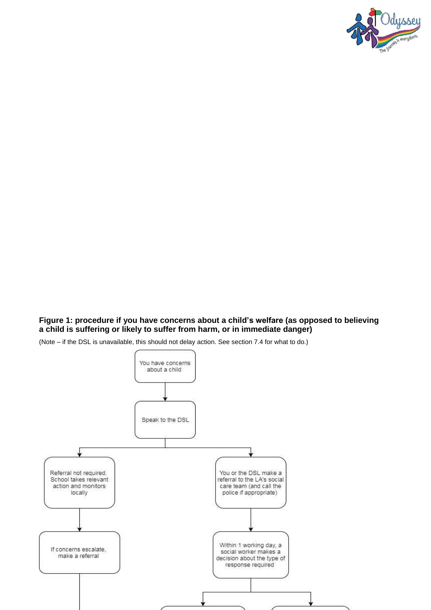

# **Figure 1: procedure if you have concerns about a child's welfare (as opposed to believing a child is suffering or likely to suffer from harm, or in immediate danger)**

(Note – if the DSL is unavailable, this should not delay action. See section 7.4 for what to do.)

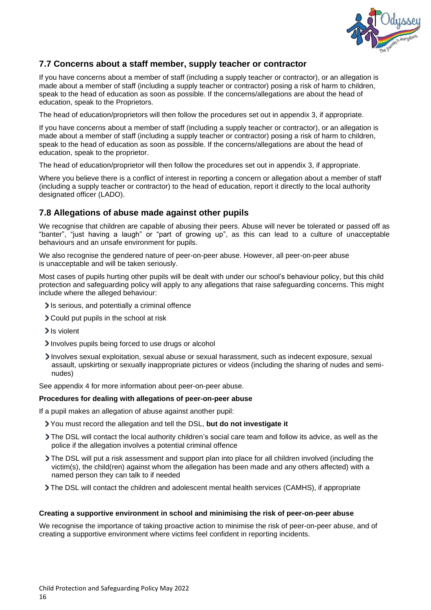

# **7.7 Concerns about a staff member, supply teacher or contractor**

If you have concerns about a member of staff (including a supply teacher or contractor), or an allegation is made about a member of staff (including a supply teacher or contractor) posing a risk of harm to children, speak to the head of education as soon as possible. If the concerns/allegations are about the head of education, speak to the Proprietors.

The head of education/proprietors will then follow the procedures set out in appendix 3, if appropriate.

If you have concerns about a member of staff (including a supply teacher or contractor), or an allegation is made about a member of staff (including a supply teacher or contractor) posing a risk of harm to children, speak to the head of education as soon as possible. If the concerns/allegations are about the head of education, speak to the proprietor.

The head of education/proprietor will then follow the procedures set out in appendix 3, if appropriate.

Where you believe there is a conflict of interest in reporting a concern or allegation about a member of staff (including a supply teacher or contractor) to the head of education, report it directly to the local authority designated officer (LADO).

# **7.8 Allegations of abuse made against other pupils**

We recognise that children are capable of abusing their peers. Abuse will never be tolerated or passed off as "banter", "just having a laugh" or "part of growing up", as this can lead to a culture of unacceptable behaviours and an unsafe environment for pupils.

We also recognise the gendered nature of peer-on-peer abuse. However, all peer-on-peer abuse is unacceptable and will be taken seriously.

Most cases of pupils hurting other pupils will be dealt with under our school's behaviour policy, but this child protection and safeguarding policy will apply to any allegations that raise safeguarding concerns. This might include where the alleged behaviour:

- If is serious, and potentially a criminal offence
- Could put pupils in the school at risk
- Is violent
- Involves pupils being forced to use drugs or alcohol
- Involves sexual exploitation, sexual abuse or sexual harassment, such as indecent exposure, sexual assault, upskirting or sexually inappropriate pictures or videos (including the sharing of nudes and seminudes)

See appendix 4 for more information about peer-on-peer abuse.

#### **Procedures for dealing with allegations of peer-on-peer abuse**

If a pupil makes an allegation of abuse against another pupil:

- You must record the allegation and tell the DSL, **but do not investigate it**
- The DSL will contact the local authority children's social care team and follow its advice, as well as the police if the allegation involves a potential criminal offence
- The DSL will put a risk assessment and support plan into place for all children involved (including the victim(s), the child(ren) against whom the allegation has been made and any others affected) with a named person they can talk to if needed
- The DSL will contact the children and adolescent mental health services (CAMHS), if appropriate

#### **Creating a supportive environment in school and minimising the risk of peer-on-peer abuse**

We recognise the importance of taking proactive action to minimise the risk of peer-on-peer abuse, and of creating a supportive environment where victims feel confident in reporting incidents.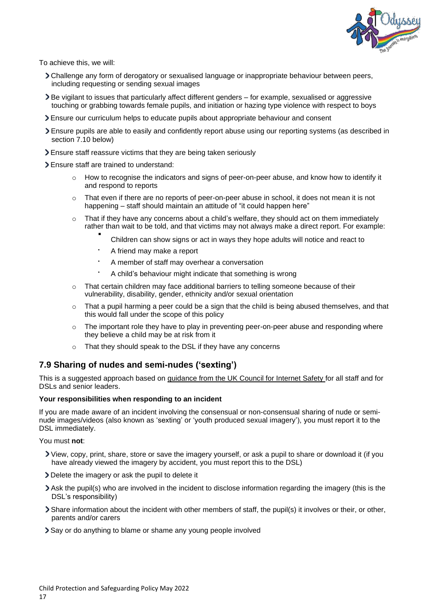

To achieve this, we will:

- Challenge any form of derogatory or sexualised language or inappropriate behaviour between peers, including requesting or sending sexual images
- Be vigilant to issues that particularly affect different genders for example, sexualised or aggressive touching or grabbing towards female pupils, and initiation or hazing type violence with respect to boys
- Ensure our curriculum helps to educate pupils about appropriate behaviour and consent
- Ensure pupils are able to easily and confidently report abuse using our reporting systems (as described in section 7.10 below)
- Ensure staff reassure victims that they are being taken seriously
- Ensure staff are trained to understand:
	- o How to recognise the indicators and signs of peer-on-peer abuse, and know how to identify it and respond to reports
	- $\circ$  That even if there are no reports of peer-on-peer abuse in school, it does not mean it is not happening – staff should maintain an attitude of "it could happen here"
	- $\circ$  That if they have any concerns about a child's welfare, they should act on them immediately rather than wait to be told, and that victims may not always make a direct report. For example: ▪
		- Children can show signs or act in ways they hope adults will notice and react to
		- A friend may make a report
		- A member of staff may overhear a conversation
		- A child's behaviour might indicate that something is wrong
	- $\circ$  That certain children may face additional barriers to telling someone because of their vulnerability, disability, gender, ethnicity and/or sexual orientation
	- $\circ$  That a pupil harming a peer could be a sign that the child is being abused themselves, and that this would fall under the scope of this policy
	- $\circ$  The important role they have to play in preventing peer-on-peer abuse and responding where they believe a child may be at risk from it
	- o That they should speak to the DSL if they have any concerns

# **7.9 Sharing of nudes and semi-nudes ('sexting')**

This is a suggested approach based on [guidance from the UK Council for Internet Safety](https://www.gov.uk/government/publications/sharing-nudes-and-semi-nudes-advice-for-education-settings-working-with-children-and-young-people) for all staff and for [DSLs and senior leaders.](https://assets.publishing.service.gov.uk/government/uploads/system/uploads/attachment_data/file/609874/6_2939_SP_NCA_Sexting_In_Schools_FINAL_Update_Jan17.pdf)

#### **Your responsibilities when responding to an incident**

If you are made aware of an incident involving the consensual or non-consensual sharing of nude or seminude images/videos (also known as 'sexting' or 'youth produced sexual imagery'), you must report it to the DSL immediately.

You must **not**:

- View, copy, print, share, store or save the imagery yourself, or ask a pupil to share or download it (if you have already viewed the imagery by accident, you must report this to the DSL)
- Delete the imagery or ask the pupil to delete it
- Ask the pupil(s) who are involved in the incident to disclose information regarding the imagery (this is the DSL's responsibility)
- Share information about the incident with other members of staff, the pupil(s) it involves or their, or other, parents and/or carers
- Say or do anything to blame or shame any young people involved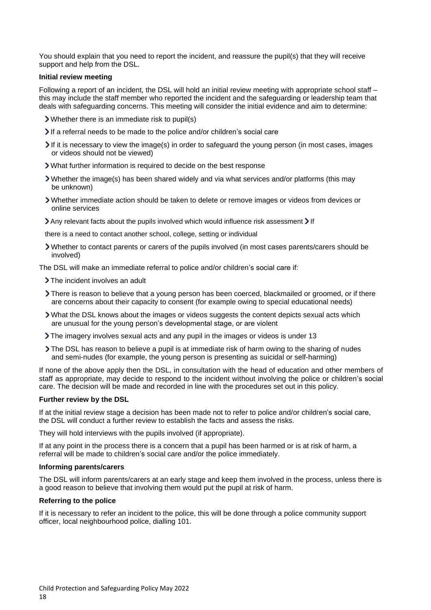You should explain that you need to report the incident, and reassure the pupil(s) that they will receive support and help from the DSL.

#### **Initial review meeting**

Following a report of an incident, the DSL will hold an initial review meeting with appropriate school staff – this may include the staff member who reported the incident and the safeguarding or leadership team that deals with safeguarding concerns. This meeting will consider the initial evidence and aim to determine:

- Whether there is an immediate risk to pupil(s)
- If a referral needs to be made to the police and/or children's social care
- If it is necessary to view the image(s) in order to safeguard the young person (in most cases, images or videos should not be viewed)
- What further information is required to decide on the best response
- Whether the image(s) has been shared widely and via what services and/or platforms (this may be unknown)
- Whether immediate action should be taken to delete or remove images or videos from devices or online services
- Any relevant facts about the pupils involved which would influence risk assessment > If

there is a need to contact another school, college, setting or individual

Whether to contact parents or carers of the pupils involved (in most cases parents/carers should be involved)

The DSL will make an immediate referral to police and/or children's social care if:

- > The incident involves an adult
- There is reason to believe that a young person has been coerced, blackmailed or groomed, or if there are concerns about their capacity to consent (for example owing to special educational needs)
- What the DSL knows about the images or videos suggests the content depicts sexual acts which are unusual for the young person's developmental stage, or are violent
- The imagery involves sexual acts and any pupil in the images or videos is under 13
- The DSL has reason to believe a pupil is at immediate risk of harm owing to the sharing of nudes and semi-nudes (for example, the young person is presenting as suicidal or self-harming)

If none of the above apply then the DSL, in consultation with the head of education and other members of staff as appropriate, may decide to respond to the incident without involving the police or children's social care. The decision will be made and recorded in line with the procedures set out in this policy.

#### **Further review by the DSL**

If at the initial review stage a decision has been made not to refer to police and/or children's social care, the DSL will conduct a further review to establish the facts and assess the risks.

They will hold interviews with the pupils involved (if appropriate).

If at any point in the process there is a concern that a pupil has been harmed or is at risk of harm, a referral will be made to children's social care and/or the police immediately.

#### **Informing parents/carers**

The DSL will inform parents/carers at an early stage and keep them involved in the process, unless there is a good reason to believe that involving them would put the pupil at risk of harm.

#### **Referring to the police**

If it is necessary to refer an incident to the police, this will be done through a police community support officer, local neighbourhood police, dialling 101.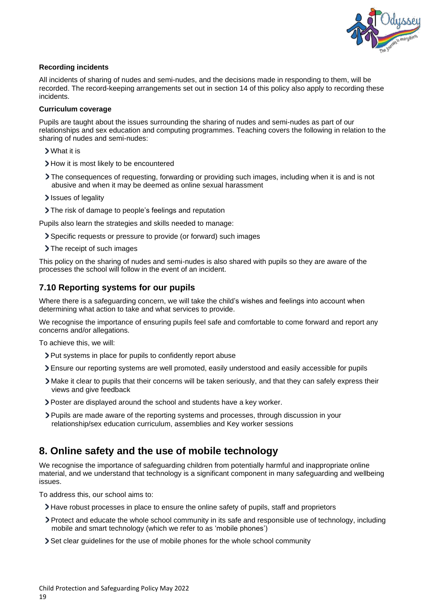

#### <span id="page-18-0"></span>**Recording incidents**

All incidents of sharing of nudes and semi-nudes, and the decisions made in responding to them, will be recorded. The record-keeping arrangements set out in section 14 of this policy also apply to recording these incidents.

#### **Curriculum coverage**

Pupils are taught about the issues surrounding the sharing of nudes and semi-nudes as part of our relationships and sex education and computing programmes. Teaching covers the following in relation to the sharing of nudes and semi-nudes:

- What it is
- > How it is most likely to be encountered
- The consequences of requesting, forwarding or providing such images, including when it is and is not abusive and when it may be deemed as online sexual harassment
- Issues of legality
- The risk of damage to people's feelings and reputation

Pupils also learn the strategies and skills needed to manage:

- Specific requests or pressure to provide (or forward) such images
- The receipt of such images

This policy on the sharing of nudes and semi-nudes is also shared with pupils so they are aware of the processes the school will follow in the event of an incident.

# **7.10 Reporting systems for our pupils**

Where there is a safeguarding concern, we will take the child's wishes and feelings into account when determining what action to take and what services to provide.

We recognise the importance of ensuring pupils feel safe and comfortable to come forward and report any concerns and/or allegations.

To achieve this, we will:

- Put systems in place for pupils to confidently report abuse
- Ensure our reporting systems are well promoted, easily understood and easily accessible for pupils
- Make it clear to pupils that their concerns will be taken seriously, and that they can safely express their views and give feedback
- Poster are displayed around the school and students have a key worker.
- Pupils are made aware of the reporting systems and processes, through discussion in your relationship/sex education curriculum, assemblies and Key worker sessions

# **8. Online safety and the use of mobile technology**

We recognise the importance of safeguarding children from potentially harmful and inappropriate online material, and we understand that technology is a significant component in many safeguarding and wellbeing issues.

To address this, our school aims to:

- Have robust processes in place to ensure the online safety of pupils, staff and proprietors
- Protect and educate the whole school community in its safe and responsible use of technology, including mobile and smart technology (which we refer to as 'mobile phones')
- Set clear guidelines for the use of mobile phones for the whole school community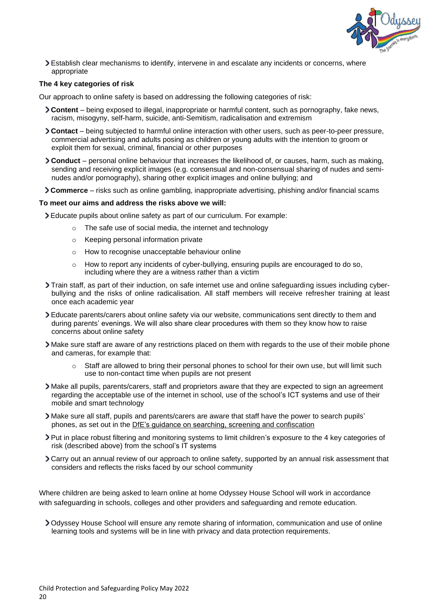

Establish clear mechanisms to identify, intervene in and escalate any incidents or concerns, where appropriate

#### **The 4 key categories of risk**

Our approach to online safety is based on addressing the following categories of risk:

- **Content** being exposed to illegal, inappropriate or harmful content, such as pornography, fake news, racism, misogyny, self-harm, suicide, anti-Semitism, radicalisation and extremism
- **Contact** being subjected to harmful online interaction with other users, such as peer-to-peer pressure, commercial advertising and adults posing as children or young adults with the intention to groom or exploit them for sexual, criminal, financial or other purposes
- **Conduct** personal online behaviour that increases the likelihood of, or causes, harm, such as making, sending and receiving explicit images (e.g. consensual and non-consensual sharing of nudes and seminudes and/or pornography), sharing other explicit images and online bullying; and
- **Commerce** risks such as online gambling, inappropriate advertising, phishing and/or financial scams

#### **To meet our aims and address the risks above we will:**

- Educate pupils about online safety as part of our curriculum. For example:
	- o The safe use of social media, the internet and technology
	- o Keeping personal information private
	- o How to recognise unacceptable behaviour online
	- $\circ$  How to report any incidents of cyber-bullying, ensuring pupils are encouraged to do so, including where they are a witness rather than a victim
- Train staff, as part of their induction, on safe internet use and online safeguarding issues including cyberbullying and the risks of online radicalisation. All staff members will receive refresher training at least once each academic year
- Educate parents/carers about online safety via our website, communications sent directly to them and during parents' evenings. We will also share clear procedures with them so they know how to raise concerns about online safety
- Make sure staff are aware of any restrictions placed on them with regards to the use of their mobile phone and cameras, for example that:
	- Staff are allowed to bring their personal phones to school for their own use, but will limit such use to non-contact time when pupils are not present
- Make all pupils, parents/carers, staff and proprietors aware that they are expected to sign an agreement regarding the acceptable use of the internet in school, use of the school's ICT systems and use of their mobile and smart technology
- Make sure all staff, pupils and parents/carers are aware that staff have the power to search pupils' phones, as set out in the [DfE's guidance on searching, screening and confiscation](https://www.gov.uk/government/publications/searching-screening-and-confiscation)
- Put in place robust filtering and monitoring systems to limit children's exposure to the 4 key categories of risk (described above) from the school's IT systems
- Carry out an annual review of our approach to online safety, supported by an annual risk assessment that considers and reflects the risks faced by our school community

Where children are being asked to learn online at home Odyssey House School will work in accordance with safeguarding in schools, colleges and other providers and safeguarding and remote education.

Odyssey House School will ensure any remote sharing of information, communication and use of online learning tools and systems will be in line with privacy and data protection requirements.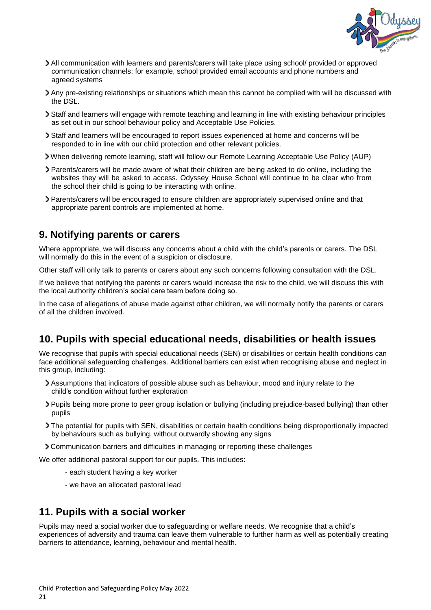

- <span id="page-20-0"></span>All communication with learners and parents/carers will take place using school/ provided or approved communication channels; for example, school provided email accounts and phone numbers and agreed systems
- Any pre-existing relationships or situations which mean this cannot be complied with will be discussed with the DSL.
- Staff and learners will engage with remote teaching and learning in line with existing behaviour principles as set out in our school behaviour policy and Acceptable Use Policies.
- Staff and learners will be encouraged to report issues experienced at home and concerns will be responded to in line with our child protection and other relevant policies.
- When delivering remote learning, staff will follow our Remote Learning Acceptable Use Policy (AUP)
- Parents/carers will be made aware of what their children are being asked to do online, including the websites they will be asked to access. Odyssey House School will continue to be clear who from the school their child is going to be interacting with online.
- Parents/carers will be encouraged to ensure children are appropriately supervised online and that appropriate parent controls are implemented at home.

# **9. Notifying parents or carers**

Where appropriate, we will discuss any concerns about a child with the child's parents or carers. The DSL will normally do this in the event of a suspicion or disclosure.

Other staff will only talk to parents or carers about any such concerns following consultation with the DSL.

If we believe that notifying the parents or carers would increase the risk to the child, we will discuss this with the local authority children's social care team before doing so.

In the case of allegations of abuse made against other children, we will normally notify the parents or carers of all the children involved.

# **10. Pupils with special educational needs, disabilities or health issues**

We recognise that pupils with special educational needs (SEN) or disabilities or certain health conditions can face additional safeguarding challenges. Additional barriers can exist when recognising abuse and neglect in this group, including:

- Assumptions that indicators of possible abuse such as behaviour, mood and injury relate to the child's condition without further exploration
- Pupils being more prone to peer group isolation or bullying (including prejudice-based bullying) than other pupils
- The potential for pupils with SEN, disabilities or certain health conditions being disproportionally impacted by behaviours such as bullying, without outwardly showing any signs
- Communication barriers and difficulties in managing or reporting these challenges

We offer additional pastoral support for our pupils. This includes:

- each student having a key worker
- we have an allocated pastoral lead

# **11. Pupils with a social worker**

Pupils may need a social worker due to safeguarding or welfare needs. We recognise that a child's experiences of adversity and trauma can leave them vulnerable to further harm as well as potentially creating barriers to attendance, learning, behaviour and mental health.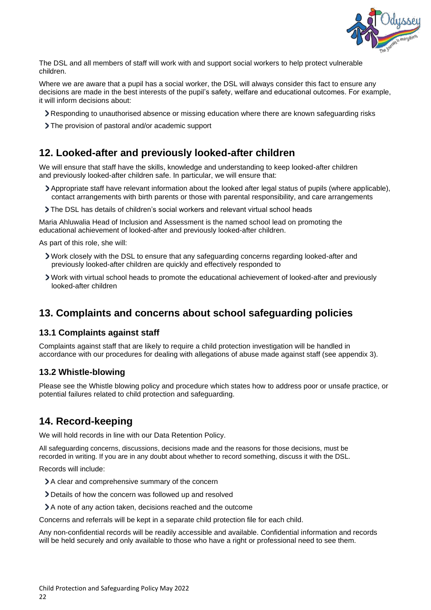

<span id="page-21-0"></span>The DSL and all members of staff will work with and support social workers to help protect vulnerable children.

Where we are aware that a pupil has a social worker, the DSL will always consider this fact to ensure any decisions are made in the best interests of the pupil's safety, welfare and educational outcomes. For example, it will inform decisions about:

- Responding to unauthorised absence or missing education where there are known safeguarding risks
- The provision of pastoral and/or academic support

# **12. Looked-after and previously looked-after children**

We will ensure that staff have the skills, knowledge and understanding to keep looked-after children and previously looked-after children safe. In particular, we will ensure that:

- Appropriate staff have relevant information about the looked after legal status of pupils (where applicable), contact arrangements with birth parents or those with parental responsibility, and care arrangements
- The DSL has details of children's social workers and relevant virtual school heads

Maria Ahluwalia Head of Inclusion and Assessment is the named school lead on promoting the educational achievement of looked-after and previously looked-after children.

As part of this role, she will:

- Work closely with the DSL to ensure that any safeguarding concerns regarding looked-after and previously looked-after children are quickly and effectively responded to
- Work with virtual school heads to promote the educational achievement of looked-after and previously looked-after children

# **13. Complaints and concerns about school safeguarding policies**

# **13.1 Complaints against staff**

Complaints against staff that are likely to require a child protection investigation will be handled in accordance with our procedures for dealing with allegations of abuse made against staff (see appendix 3).

# **13.2 Whistle-blowing**

Please see the Whistle blowing policy and procedure which states how to address poor or unsafe practice, or potential failures related to child protection and safeguarding.

# **14. Record-keeping**

We will hold records in line with our Data Retention Policy.

All safeguarding concerns, discussions, decisions made and the reasons for those decisions, must be recorded in writing. If you are in any doubt about whether to record something, discuss it with the DSL.

Records will include:

- A clear and comprehensive summary of the concern
- Details of how the concern was followed up and resolved
- A note of any action taken, decisions reached and the outcome

Concerns and referrals will be kept in a separate child protection file for each child.

Any non-confidential records will be readily accessible and available. Confidential information and records will be held securely and only available to those who have a right or professional need to see them.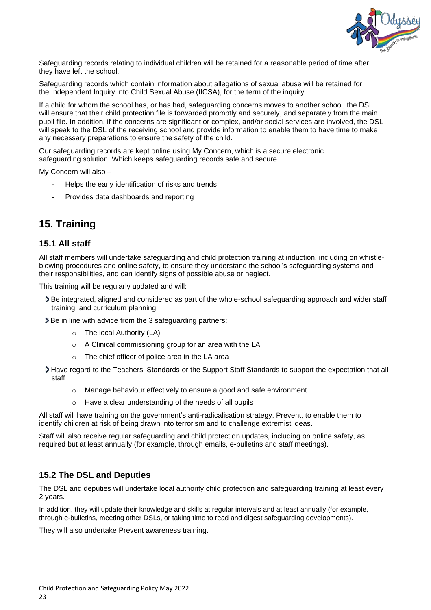

<span id="page-22-0"></span>Safeguarding records relating to individual children will be retained for a reasonable period of time after they have left the school.

Safeguarding records which contain information about allegations of sexual abuse will be retained for the Independent Inquiry into Child Sexual Abuse (IICSA), for the term of the inquiry.

If a child for whom the school has, or has had, safeguarding concerns moves to another school, the DSL will ensure that their child protection file is forwarded promptly and securely, and separately from the main pupil file. In addition, if the concerns are significant or complex, and/or social services are involved, the DSL will speak to the DSL of the receiving school and provide information to enable them to have time to make any necessary preparations to ensure the safety of the child.

Our safeguarding records are kept online using My Concern, which is a secure electronic safeguarding solution. Which keeps safeguarding records safe and secure.

My Concern will also –

- Helps the early identification of risks and trends
- Provides data dashboards and reporting

# **15. Training**

### **15.1 All staff**

All staff members will undertake safeguarding and child protection training at induction, including on whistleblowing procedures and online safety, to ensure they understand the school's safeguarding systems and their responsibilities, and can identify signs of possible abuse or neglect.

This training will be regularly updated and will:

- Be integrated, aligned and considered as part of the whole-school safeguarding approach and wider staff training, and curriculum planning
- Be in line with advice from the 3 safeguarding partners:
	- o The local Authority (LA)
	- o A Clinical commissioning group for an area with the LA
	- o The chief officer of police area in the LA area
- Have regard to the Teachers' Standards or the Support Staff Standards to support the expectation that all staff
	- o Manage behaviour effectively to ensure a good and safe environment
	- o Have a clear understanding of the needs of all pupils

All staff will have training on the government's anti-radicalisation strategy, Prevent, to enable them to identify children at risk of being drawn into terrorism and to challenge extremist ideas.

Staff will also receive regular safeguarding and child protection updates, including on online safety, as required but at least annually (for example, through emails, e-bulletins and staff meetings).

# **15.2 The DSL and Deputies**

The DSL and deputies will undertake local authority child protection and safeguarding training at least every 2 years.

In addition, they will update their knowledge and skills at regular intervals and at least annually (for example, through e-bulletins, meeting other DSLs, or taking time to read and digest safeguarding developments).

They will also undertake Prevent awareness training.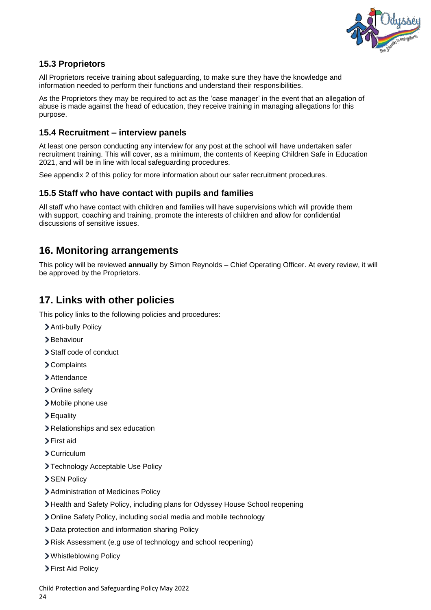

# <span id="page-23-0"></span>**15.3 Proprietors**

All Proprietors receive training about safeguarding, to make sure they have the knowledge and information needed to perform their functions and understand their responsibilities.

As the Proprietors they may be required to act as the 'case manager' in the event that an allegation of abuse is made against the head of education, they receive training in managing allegations for this purpose.

# **15.4 Recruitment – interview panels**

At least one person conducting any interview for any post at the school will have undertaken safer recruitment training. This will cover, as a minimum, the contents of Keeping Children Safe in Education 2021, and will be in line with local safeguarding procedures.

See appendix 2 of this policy for more information about our safer recruitment procedures.

# **15.5 Staff who have contact with pupils and families**

All staff who have contact with children and families will have supervisions which will provide them with support, coaching and training, promote the interests of children and allow for confidential discussions of sensitive issues.

# **16. Monitoring arrangements**

This policy will be reviewed **annually** by Simon Reynolds – Chief Operating Officer. At every review, it will be approved by the Proprietors.

# **17. Links with other policies**

This policy links to the following policies and procedures:

- > Anti-bully Policy
- > Behaviour
- Staff code of conduct
- Complaints
- > Attendance
- > Online safety
- Mobile phone use
- Equality
- Relationships and sex education
- First aid
- Curriculum
- > Technology Acceptable Use Policy
- SEN Policy
- Administration of Medicines Policy
- Health and Safety Policy, including plans for Odyssey House School reopening
- Online Safety Policy, including social media and mobile technology
- > Data protection and information sharing Policy
- Risk Assessment (e.g use of technology and school reopening)
- Whistleblowing Policy
- First Aid Policy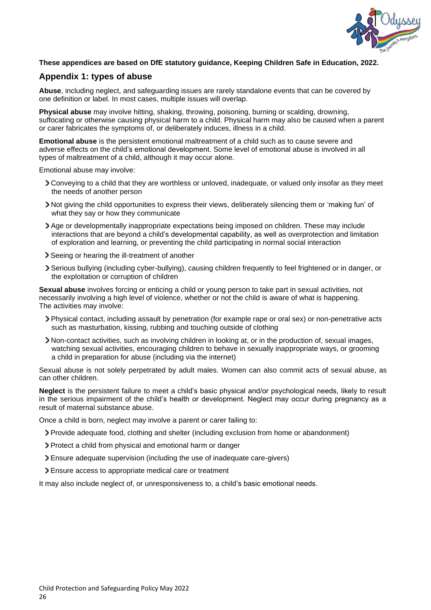

#### <span id="page-25-0"></span>**These appendices are based on DfE statutory guidance, Keeping Children Safe in Education, 2022.**

# **Appendix 1: types of abuse**

**Abuse**, including neglect, and safeguarding issues are rarely standalone events that can be covered by one definition or label. In most cases, multiple issues will overlap.

**Physical abuse** may involve hitting, shaking, throwing, poisoning, burning or scalding, drowning, suffocating or otherwise causing physical harm to a child. Physical harm may also be caused when a parent or carer fabricates the symptoms of, or deliberately induces, illness in a child.

**Emotional abuse** is the persistent emotional maltreatment of a child such as to cause severe and adverse effects on the child's emotional development. Some level of emotional abuse is involved in all types of maltreatment of a child, although it may occur alone.

Emotional abuse may involve:

- Conveying to a child that they are worthless or unloved, inadequate, or valued only insofar as they meet the needs of another person
- Not giving the child opportunities to express their views, deliberately silencing them or 'making fun' of what they say or how they communicate
- Age or developmentally inappropriate expectations being imposed on children. These may include interactions that are beyond a child's developmental capability, as well as overprotection and limitation of exploration and learning, or preventing the child participating in normal social interaction
- Seeing or hearing the ill-treatment of another
- Serious bullying (including cyber-bullying), causing children frequently to feel frightened or in danger, or the exploitation or corruption of children

**Sexual abuse** involves forcing or enticing a child or young person to take part in sexual activities, not necessarily involving a high level of violence, whether or not the child is aware of what is happening. The activities may involve:

- Physical contact, including assault by penetration (for example rape or oral sex) or non-penetrative acts such as masturbation, kissing, rubbing and touching outside of clothing
- Non-contact activities, such as involving children in looking at, or in the production of, sexual images, watching sexual activities, encouraging children to behave in sexually inappropriate ways, or grooming a child in preparation for abuse (including via the internet)

Sexual abuse is not solely perpetrated by adult males. Women can also commit acts of sexual abuse, as can other children.

**Neglect** is the persistent failure to meet a child's basic physical and/or psychological needs, likely to result in the serious impairment of the child's health or development. Neglect may occur during pregnancy as a result of maternal substance abuse.

Once a child is born, neglect may involve a parent or carer failing to:

- Provide adequate food, clothing and shelter (including exclusion from home or abandonment)
- Protect a child from physical and emotional harm or danger
- Ensure adequate supervision (including the use of inadequate care-givers)
- Ensure access to appropriate medical care or treatment

It may also include neglect of, or unresponsiveness to, a child's basic emotional needs.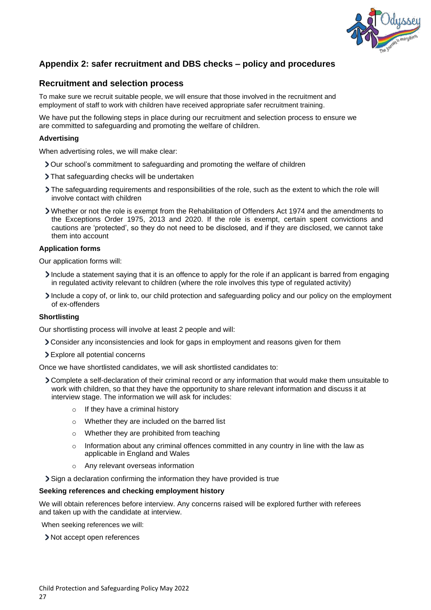

# <span id="page-26-0"></span>**Appendix 2: safer recruitment and DBS checks – policy and procedures**

# **Recruitment and selection process**

To make sure we recruit suitable people, we will ensure that those involved in the recruitment and employment of staff to work with children have received appropriate safer recruitment training.

We have put the following steps in place during our recruitment and selection process to ensure we are committed to safeguarding and promoting the welfare of children.

#### **Advertising**

When advertising roles, we will make clear:

- Our school's commitment to safeguarding and promoting the welfare of children
- **That safeguarding checks will be undertaken**
- The safeguarding requirements and responsibilities of the role, such as the extent to which the role will involve contact with children
- Whether or not the role is exempt from the Rehabilitation of Offenders Act 1974 and the amendments to the Exceptions Order 1975, 2013 and 2020. If the role is exempt, certain spent convictions and cautions are 'protected', so they do not need to be disclosed, and if they are disclosed, we cannot take them into account

#### **Application forms**

Our application forms will:

- Include a statement saying that it is an offence to apply for the role if an applicant is barred from engaging in regulated activity relevant to children (where the role involves this type of regulated activity)
- Include a copy of, or link to, our child protection and safeguarding policy and our policy on the employment of ex-offenders

#### **Shortlisting**

Our shortlisting process will involve at least 2 people and will:

- Consider any inconsistencies and look for gaps in employment and reasons given for them
- Explore all potential concerns

Once we have shortlisted candidates, we will ask shortlisted candidates to:

- Complete a self-declaration of their criminal record or any information that would make them unsuitable to work with children, so that they have the opportunity to share relevant information and discuss it at interview stage. The information we will ask for includes:
	- $\circ$  If they have a criminal history
	- o Whether they are included on the barred list
	- $\circ$  Whether they are prohibited from teaching
	- $\circ$  Information about any criminal offences committed in any country in line with the law as applicable in England and Wales
	- o Any relevant overseas information
- Sign a declaration confirming the information they have provided is true

#### **Seeking references and checking employment history**

We will obtain references before interview. Any concerns raised will be explored further with referees and taken up with the candidate at interview.

When seeking references we will:

Not accept open references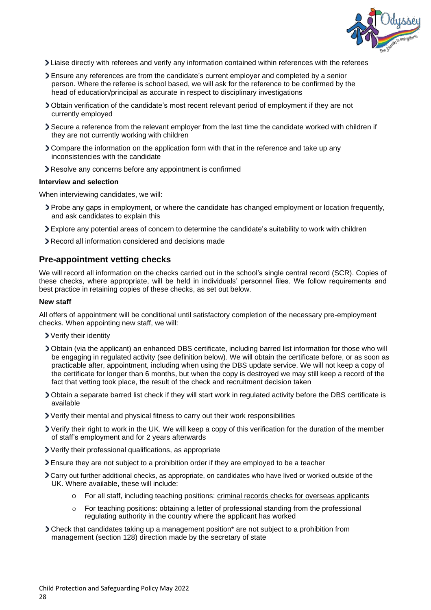

- Liaise directly with referees and verify any information contained within references with the referees
- Ensure any references are from the candidate's current employer and completed by a senior person. Where the referee is school based, we will ask for the reference to be confirmed by the head of education/principal as accurate in respect to disciplinary investigations
- Obtain verification of the candidate's most recent relevant period of employment if they are not currently employed
- Secure a reference from the relevant employer from the last time the candidate worked with children if they are not currently working with children
- Compare the information on the application form with that in the reference and take up any inconsistencies with the candidate
- Resolve any concerns before any appointment is confirmed

#### **Interview and selection**

When interviewing candidates, we will:

- Probe any gaps in employment, or where the candidate has changed employment or location frequently, and ask candidates to explain this
- Explore any potential areas of concern to determine the candidate's suitability to work with children
- Record all information considered and decisions made

#### **Pre-appointment vetting checks**

We will record all information on the checks carried out in the school's single central record (SCR). Copies of these checks, where appropriate, will be held in individuals' personnel files. We follow requirements and best practice in retaining copies of these checks, as set out below.

#### **New staff**

All offers of appointment will be conditional until satisfactory completion of the necessary pre-employment checks. When appointing new staff, we will:

- Verify their identity
- Obtain (via the applicant) an enhanced DBS certificate, including barred list information for those who will be engaging in regulated activity (see definition below). We will obtain the certificate before, or as soon as practicable after, appointment, including when using the DBS update service. We will not keep a copy of the certificate for longer than 6 months, but when the copy is destroyed we may still keep a record of the fact that vetting took place, the result of the check and recruitment decision taken
- Obtain a separate barred list check if they will start work in regulated activity before the DBS certificate is available
- Verify their mental and physical fitness to carry out their work responsibilities
- Verify their right to work in the UK. We will keep a copy of this verification for the duration of the member of staff's employment and for 2 years afterwards
- Verify their professional qualifications, as appropriate
- Ensure they are not subject to a prohibition order if they are employed to be a teacher
- Carry out further additional checks, as appropriate, on candidates who have lived or worked outside of the UK. Where available, these will include:
	- For all staff, including teaching positions: [criminal records checks for](https://www.gov.uk/government/publications/criminal-records-checks-for-overseas-applicants) overseas applicants
	- o For teaching positions: obtaining a letter of professional standing from the professional regulating authority in the country where the applicant has worked
- Check that candidates taking up a management position\* are not subject to a prohibition from management (section 128) direction made by the secretary of state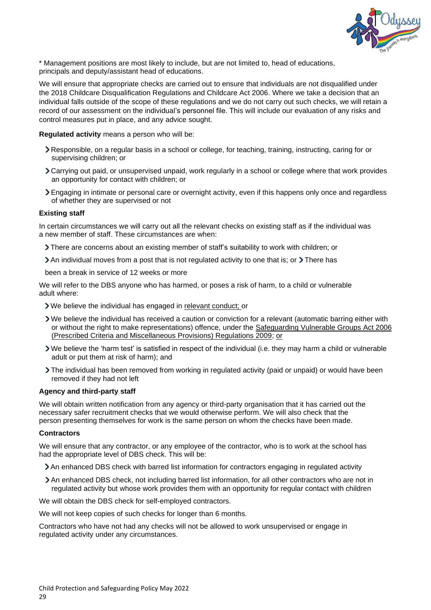

\* Management positions are most likely to include, but are not limited to, head of educations, principals and deputy/assistant head of educations.

We will ensure that appropriate checks are carried out to ensure that individuals are not disqualified under the 2018 Childcare Disqualification Regulations and Childcare Act 2006. Where we take a decision that an individual falls outside of the scope of these regulations and we do not carry out such checks, we will retain a record of our assessment on the individual's personnel file. This will include our evaluation of any risks and control measures put in place, and any advice sought.

**Regulated activity** means a person who will be:

- Responsible, on a regular basis in a school or college, for teaching, training, instructing, caring for or supervising children; or
- Carrying out paid, or unsupervised unpaid, work regularly in a school or college where that work provides an opportunity for contact with children; or
- Engaging in intimate or personal care or overnight activity, even if this happens only once and regardless of whether they are supervised or not

#### **Existing staff**

In certain circumstances we will carry out all the relevant checks on existing staff as if the individual was a new member of staff. These circumstances are when:

There are concerns about an existing member of staff's suitability to work with children; or

 $\triangleright$  An individual moves from a post that is not regulated activity to one that is; or  $\triangleright$  There has

been a break in service of 12 weeks or more

We will refer to the DBS anyone who has harmed, or poses a risk of harm, to a child or vulnerable adult where:

- We believe the individual has engaged in [relevant conduct; o](https://www.gov.uk/guidance/making-barring-referrals-to-the-dbs#relevant-conduct-in-relation-to-children)r
- We believe the individual has received a caution or conviction for a relevant (automatic barring either with or without the right to make representations) offence, under the [Safeguarding Vulnerable Groups Act 2006](http://www.legislation.gov.uk/uksi/2009/37/contents/made) [\(Prescribed Criteria and Miscellaneous Provisions\) Regulations 2009; o](http://www.legislation.gov.uk/uksi/2009/37/contents/made)r
- We believe the 'harm test' is satisfied in respect of the individual (i.e. they may harm a child or vulnerable adult or put them at risk of harm); and
- The individual has been removed from working in regulated activity (paid or unpaid) or would have been removed if they had not left

#### **Agency and third-party staff**

We will obtain written notification from any agency or third-party organisation that it has carried out the necessary safer recruitment checks that we would otherwise perform. We will also check that the person presenting themselves for work is the same person on whom the checks have been made.

#### **Contractors**

We will ensure that any contractor, or any employee of the contractor, who is to work at the school has had the appropriate level of DBS check. This will be:

- An enhanced DBS check with barred list information for contractors engaging in regulated activity
- An enhanced DBS check, not including barred list information, for all other contractors who are not in regulated activity but whose work provides them with an opportunity for regular contact with children

We will obtain the DBS check for self-employed contractors.

We will not keep copies of such checks for longer than 6 months.

Contractors who have not had any checks will not be allowed to work unsupervised or engage in regulated activity under any circumstances.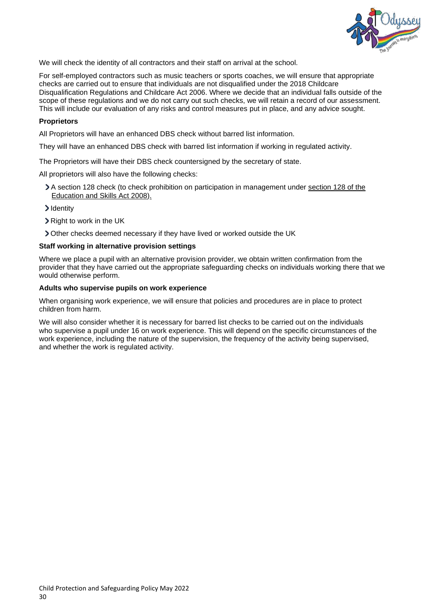

We will check the identity of all contractors and their staff on arrival at the school.

For self-employed contractors such as music teachers or sports coaches, we will ensure that appropriate checks are carried out to ensure that individuals are not disqualified under the 2018 Childcare Disqualification Regulations and Childcare Act 2006. Where we decide that an individual falls outside of the scope of these regulations and we do not carry out such checks, we will retain a record of our assessment. This will include our evaluation of any risks and control measures put in place, and any advice sought.

#### **Proprietors**

All Proprietors will have an enhanced DBS check without barred list information.

They will have an enhanced DBS check with barred list information if working in regulated activity.

The Proprietors will have their DBS check countersigned by the secretary of state.

All proprietors will also have the following checks:

- A section 128 check (to check prohibition on participation in management under [section 128 of the](https://www.legislation.gov.uk/ukpga/2008/25/section/128) [Education and Skills Act 2008\).](https://www.legislation.gov.uk/ukpga/2008/25/section/128)
- > Identity
- Right to work in the UK
- Other checks deemed necessary if they have lived or worked outside the UK

#### **Staff working in alternative provision settings**

Where we place a pupil with an alternative provision provider, we obtain written confirmation from the provider that they have carried out the appropriate safeguarding checks on individuals working there that we would otherwise perform.

#### **Adults who supervise pupils on work experience**

When organising work experience, we will ensure that policies and procedures are in place to protect children from harm.

We will also consider whether it is necessary for barred list checks to be carried out on the individuals who supervise a pupil under 16 on work experience. This will depend on the specific circumstances of the work experience, including the nature of the supervision, the frequency of the activity being supervised, and whether the work is regulated activity.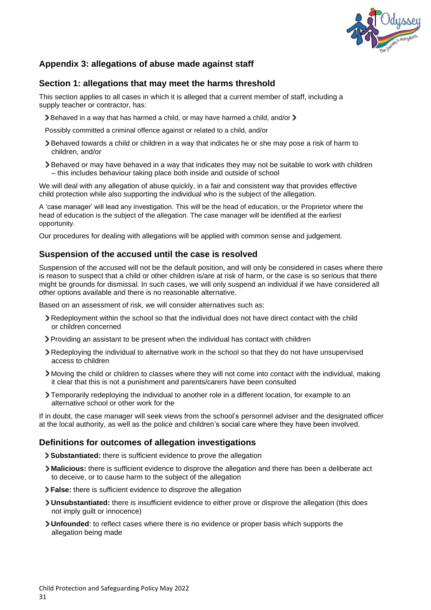

# <span id="page-30-0"></span>**Appendix 3: allegations of abuse made against staff**

# **Section 1: allegations that may meet the harms threshold**

This section applies to all cases in which it is alleged that a current member of staff, including a supply teacher or contractor, has:

Sehaved in a way that has harmed a child, or may have harmed a child, and/or S

Possibly committed a criminal offence against or related to a child, and/or

- Behaved towards a child or children in a way that indicates he or she may pose a risk of harm to children, and/or
- Behaved or may have behaved in a way that indicates they may not be suitable to work with children – this includes behaviour taking place both inside and outside of school

We will deal with any allegation of abuse quickly, in a fair and consistent way that provides effective child protection while also supporting the individual who is the subject of the allegation.

A 'case manager' will lead any investigation. This will be the head of education, or the Proprietor where the head of education is the subject of the allegation. The case manager will be identified at the earliest opportunity.

Our procedures for dealing with allegations will be applied with common sense and judgement.

### **Suspension of the accused until the case is resolved**

Suspension of the accused will not be the default position, and will only be considered in cases where there is reason to suspect that a child or other children is/are at risk of harm, or the case is so serious that there might be grounds for dismissal. In such cases, we will only suspend an individual if we have considered all other options available and there is no reasonable alternative.

Based on an assessment of risk, we will consider alternatives such as:

- Redeployment within the school so that the individual does not have direct contact with the child or children concerned
- Providing an assistant to be present when the individual has contact with children
- Redeploying the individual to alternative work in the school so that they do not have unsupervised access to children
- Moving the child or children to classes where they will not come into contact with the individual, making it clear that this is not a punishment and parents/carers have been consulted
- Temporarily redeploying the individual to another role in a different location, for example to an alternative school or other work for the

If in doubt, the case manager will seek views from the school's personnel adviser and the designated officer at the local authority, as well as the police and children's social care where they have been involved.

#### **Definitions for outcomes of allegation investigations**

- **Substantiated:** there is sufficient evidence to prove the allegation
- **Malicious:** there is sufficient evidence to disprove the allegation and there has been a deliberate act to deceive, or to cause harm to the subject of the allegation
- **False:** there is sufficient evidence to disprove the allegation
- **Unsubstantiated:** there is insufficient evidence to either prove or disprove the allegation (this does not imply guilt or innocence)
- **Unfounded**: to reflect cases where there is no evidence or proper basis which supports the allegation being made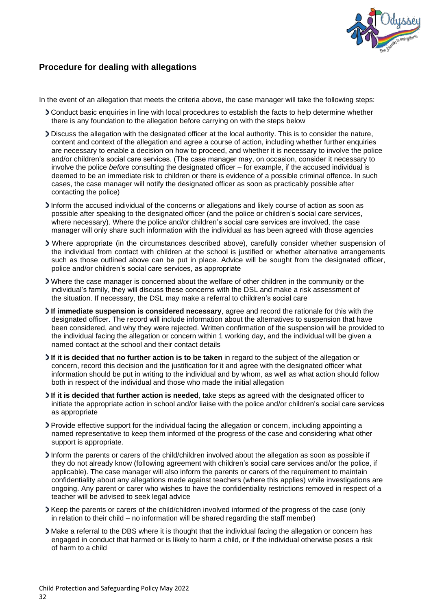

# **Procedure for dealing with allegations**

In the event of an allegation that meets the criteria above, the case manager will take the following steps:

- Conduct basic enquiries in line with local procedures to establish the facts to help determine whether there is any foundation to the allegation before carrying on with the steps below
- Discuss the allegation with the designated officer at the local authority. This is to consider the nature, content and context of the allegation and agree a course of action, including whether further enquiries are necessary to enable a decision on how to proceed, and whether it is necessary to involve the police and/or children's social care services. (The case manager may, on occasion, consider it necessary to involve the police *before* consulting the designated officer – for example, if the accused individual is deemed to be an immediate risk to children or there is evidence of a possible criminal offence. In such cases, the case manager will notify the designated officer as soon as practicably possible after contacting the police)
- Inform the accused individual of the concerns or allegations and likely course of action as soon as possible after speaking to the designated officer (and the police or children's social care services, where necessary). Where the police and/or children's social care services are involved, the case manager will only share such information with the individual as has been agreed with those agencies
- Where appropriate (in the circumstances described above), carefully consider whether suspension of the individual from contact with children at the school is justified or whether alternative arrangements such as those outlined above can be put in place. Advice will be sought from the designated officer, police and/or children's social care services, as appropriate
- Where the case manager is concerned about the welfare of other children in the community or the individual's family, they will discuss these concerns with the DSL and make a risk assessment of the situation. If necessary, the DSL may make a referral to children's social care
- **If immediate suspension is considered necessary**, agree and record the rationale for this with the designated officer. The record will include information about the alternatives to suspension that have been considered, and why they were rejected. Written confirmation of the suspension will be provided to the individual facing the allegation or concern within 1 working day, and the individual will be given a named contact at the school and their contact details
- **If it is decided that no further action is to be taken** in regard to the subject of the allegation or concern, record this decision and the justification for it and agree with the designated officer what information should be put in writing to the individual and by whom, as well as what action should follow both in respect of the individual and those who made the initial allegation
- **If it is decided that further action is needed**, take steps as agreed with the designated officer to initiate the appropriate action in school and/or liaise with the police and/or children's social care services as appropriate
- Provide effective support for the individual facing the allegation or concern, including appointing a named representative to keep them informed of the progress of the case and considering what other support is appropriate.
- Inform the parents or carers of the child/children involved about the allegation as soon as possible if they do not already know (following agreement with children's social care services and/or the police, if applicable). The case manager will also inform the parents or carers of the requirement to maintain confidentiality about any allegations made against teachers (where this applies) while investigations are ongoing. Any parent or carer who wishes to have the confidentiality restrictions removed in respect of a teacher will be advised to seek legal advice
- Keep the parents or carers of the child/children involved informed of the progress of the case (only in relation to their child – no information will be shared regarding the staff member)
- Make a referral to the DBS where it is thought that the individual facing the allegation or concern has engaged in conduct that harmed or is likely to harm a child, or if the individual otherwise poses a risk of harm to a child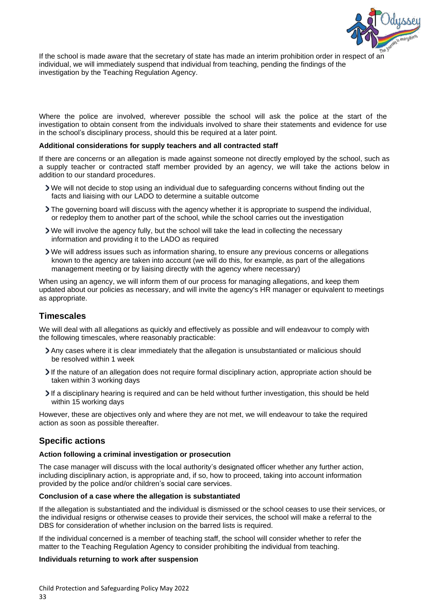

If the school is made aware that the secretary of state has made an interim prohibition order in respect of an individual, we will immediately suspend that individual from teaching, pending the findings of the investigation by the Teaching Regulation Agency.

Where the police are involved, wherever possible the school will ask the police at the start of the investigation to obtain consent from the individuals involved to share their statements and evidence for use in the school's disciplinary process, should this be required at a later point.

#### **Additional considerations for supply teachers and all contracted staff**

If there are concerns or an allegation is made against someone not directly employed by the school, such as a supply teacher or contracted staff member provided by an agency, we will take the actions below in addition to our standard procedures.

- We will not decide to stop using an individual due to safeguarding concerns without finding out the facts and liaising with our LADO to determine a suitable outcome
- The governing board will discuss with the agency whether it is appropriate to suspend the individual, or redeploy them to another part of the school, while the school carries out the investigation
- We will involve the agency fully, but the school will take the lead in collecting the necessary information and providing it to the LADO as required
- We will address issues such as information sharing, to ensure any previous concerns or allegations known to the agency are taken into account (we will do this, for example, as part of the allegations management meeting or by liaising directly with the agency where necessary)

When using an agency, we will inform them of our process for managing allegations, and keep them updated about our policies as necessary, and will invite the agency's HR manager or equivalent to meetings as appropriate.

# **Timescales**

We will deal with all allegations as quickly and effectively as possible and will endeavour to comply with the following timescales, where reasonably practicable:

- Any cases where it is clear immediately that the allegation is unsubstantiated or malicious should be resolved within 1 week
- If the nature of an allegation does not require formal disciplinary action, appropriate action should be taken within 3 working days
- If a disciplinary hearing is required and can be held without further investigation, this should be held within 15 working days

However, these are objectives only and where they are not met, we will endeavour to take the required action as soon as possible thereafter.

# **Specific actions**

#### **Action following a criminal investigation or prosecution**

The case manager will discuss with the local authority's designated officer whether any further action, including disciplinary action, is appropriate and, if so, how to proceed, taking into account information provided by the police and/or children's social care services.

#### **Conclusion of a case where the allegation is substantiated**

If the allegation is substantiated and the individual is dismissed or the school ceases to use their services, or the individual resigns or otherwise ceases to provide their services, the school will make a referral to the DBS for consideration of whether inclusion on the barred lists is required.

If the individual concerned is a member of teaching staff, the school will consider whether to refer the matter to the Teaching Regulation Agency to consider prohibiting the individual from teaching.

#### **Individuals returning to work after suspension**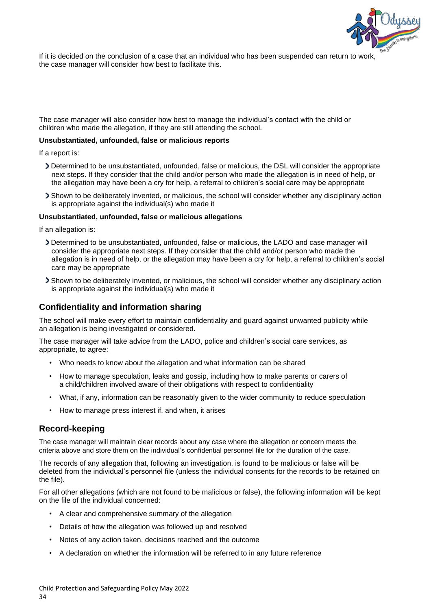

If it is decided on the conclusion of a case that an individual who has been suspended can return to work the case manager will consider how best to facilitate this.

The case manager will also consider how best to manage the individual's contact with the child or children who made the allegation, if they are still attending the school.

#### **Unsubstantiated, unfounded, false or malicious reports**

If a report is:

- Determined to be unsubstantiated, unfounded, false or malicious, the DSL will consider the appropriate next steps. If they consider that the child and/or person who made the allegation is in need of help, or the allegation may have been a cry for help, a referral to children's social care may be appropriate
- Shown to be deliberately invented, or malicious, the school will consider whether any disciplinary action is appropriate against the individual(s) who made it

#### **Unsubstantiated, unfounded, false or malicious allegations**

If an allegation is:

- Determined to be unsubstantiated, unfounded, false or malicious, the LADO and case manager will consider the appropriate next steps. If they consider that the child and/or person who made the allegation is in need of help, or the allegation may have been a cry for help, a referral to children's social care may be appropriate
- Shown to be deliberately invented, or malicious, the school will consider whether any disciplinary action is appropriate against the individual(s) who made it

#### **Confidentiality and information sharing**

The school will make every effort to maintain confidentiality and guard against unwanted publicity while an allegation is being investigated or considered.

The case manager will take advice from the LADO, police and children's social care services, as appropriate, to agree:

- Who needs to know about the allegation and what information can be shared
- How to manage speculation, leaks and gossip, including how to make parents or carers of a child/children involved aware of their obligations with respect to confidentiality
- What, if any, information can be reasonably given to the wider community to reduce speculation
- How to manage press interest if, and when, it arises

# **Record-keeping**

The case manager will maintain clear records about any case where the allegation or concern meets the criteria above and store them on the individual's confidential personnel file for the duration of the case.

The records of any allegation that, following an investigation, is found to be malicious or false will be deleted from the individual's personnel file (unless the individual consents for the records to be retained on the file).

For all other allegations (which are not found to be malicious or false), the following information will be kept on the file of the individual concerned:

- A clear and comprehensive summary of the allegation
- Details of how the allegation was followed up and resolved
- Notes of any action taken, decisions reached and the outcome
- A declaration on whether the information will be referred to in any future reference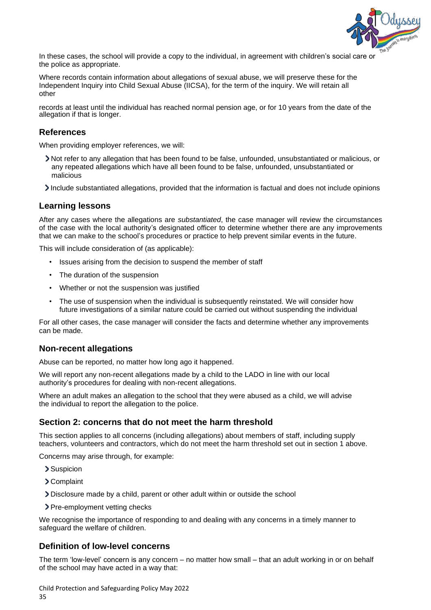

In these cases, the school will provide a copy to the individual, in agreement with children's social care or the police as appropriate.

Where records contain information about allegations of sexual abuse, we will preserve these for the Independent Inquiry into Child Sexual Abuse (IICSA), for the term of the inquiry. We will retain all other

records at least until the individual has reached normal pension age, or for 10 years from the date of the allegation if that is longer.

### **References**

When providing employer references, we will:

- Not refer to any allegation that has been found to be false, unfounded, unsubstantiated or malicious, or any repeated allegations which have all been found to be false, unfounded, unsubstantiated or malicious
- Include substantiated allegations, provided that the information is factual and does not include opinions

#### **Learning lessons**

After any cases where the allegations are *substantiated*, the case manager will review the circumstances of the case with the local authority's designated officer to determine whether there are any improvements that we can make to the school's procedures or practice to help prevent similar events in the future.

This will include consideration of (as applicable):

- Issues arising from the decision to suspend the member of staff
- The duration of the suspension
- Whether or not the suspension was justified
- The use of suspension when the individual is subsequently reinstated. We will consider how future investigations of a similar nature could be carried out without suspending the individual

For all other cases, the case manager will consider the facts and determine whether any improvements can be made.

#### **Non-recent allegations**

Abuse can be reported, no matter how long ago it happened.

We will report any non-recent allegations made by a child to the LADO in line with our local authority's procedures for dealing with non-recent allegations.

Where an adult makes an allegation to the school that they were abused as a child, we will advise the individual to report the allegation to the police.

#### **Section 2: concerns that do not meet the harm threshold**

This section applies to all concerns (including allegations) about members of staff, including supply teachers, volunteers and contractors, which do not meet the harm threshold set out in section 1 above.

Concerns may arise through, for example:

- Suspicion
- Complaint
- Disclosure made by a child, parent or other adult within or outside the school
- > Pre-employment vetting checks

We recognise the importance of responding to and dealing with any concerns in a timely manner to safeguard the welfare of children.

#### **Definition of low-level concerns**

The term 'low-level' concern is any concern – no matter how small – that an adult working in or on behalf of the school may have acted in a way that: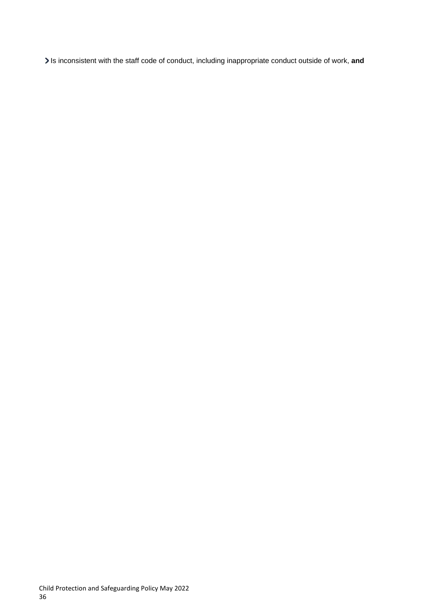Is inconsistent with the staff code of conduct, including inappropriate conduct outside of work, **and**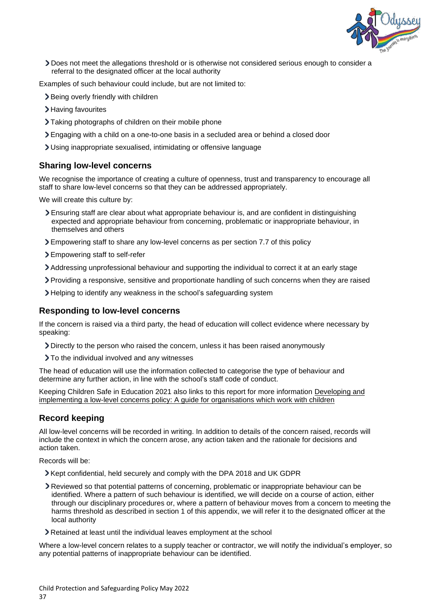

Does not meet the allegations threshold or is otherwise not considered serious enough to consider a referral to the designated officer at the local authority

Examples of such behaviour could include, but are not limited to:

- **>** Being overly friendly with children
- > Having favourites
- Taking photographs of children on their mobile phone
- Engaging with a child on a one-to-one basis in a secluded area or behind a closed door
- Using inappropriate sexualised, intimidating or offensive language

#### **Sharing low-level concerns**

We recognise the importance of creating a culture of openness, trust and transparency to encourage all staff to share low-level concerns so that they can be addressed appropriately.

We will create this culture by:

- Ensuring staff are clear about what appropriate behaviour is, and are confident in distinguishing expected and appropriate behaviour from concerning, problematic or inappropriate behaviour, in themselves and others
- Empowering staff to share any low-level concerns as per section 7.7 of this policy
- Empowering staff to self-refer
- Addressing unprofessional behaviour and supporting the individual to correct it at an early stage
- Providing a responsive, sensitive and proportionate handling of such concerns when they are raised
- Helping to identify any weakness in the school's safeguarding system

#### **Responding to low-level concerns**

If the concern is raised via a third party, the head of education will collect evidence where necessary by speaking:

- Directly to the person who raised the concern, unless it has been raised anonymously
- > To the individual involved and any witnesses

The head of education will use the information collected to categorise the type of behaviour and determine any further action, in line with the school's staff code of conduct.

Keeping Children Safe in Education 2021 also links to this report for more information [Developing and](https://www.farrer.co.uk/news-and-insights/developing-and-implementing-a-low-level-concerns-policy-a-guide-for-organisations-which-work-with-children/) [implementing a low-level concerns policy: A guide for organisations which work with children](https://www.farrer.co.uk/news-and-insights/developing-and-implementing-a-low-level-concerns-policy-a-guide-for-organisations-which-work-with-children/)

#### **Record keeping**

All low-level concerns will be recorded in writing. In addition to details of the concern raised, records will include the context in which the concern arose, any action taken and the rationale for decisions and action taken.

Records will be:

- Xept confidential, held securely and comply with the DPA 2018 and UK GDPR
- Reviewed so that potential patterns of concerning, problematic or inappropriate behaviour can be identified. Where a pattern of such behaviour is identified, we will decide on a course of action, either through our disciplinary procedures or, where a pattern of behaviour moves from a concern to meeting the harms threshold as described in section 1 of this appendix, we will refer it to the designated officer at the local authority
- Retained at least until the individual leaves employment at the school

Where a low-level concern relates to a supply teacher or contractor, we will notify the individual's employer, so any potential patterns of inappropriate behaviour can be identified.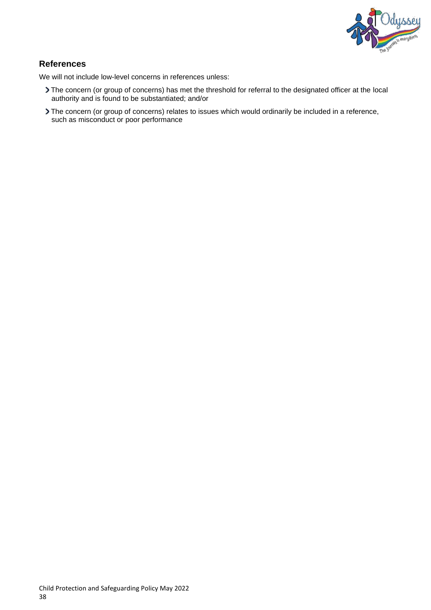

# **References**

We will not include low-level concerns in references unless:

- The concern (or group of concerns) has met the threshold for referral to the designated officer at the local authority and is found to be substantiated; and/or
- The concern (or group of concerns) relates to issues which would ordinarily be included in a reference, such as misconduct or poor performance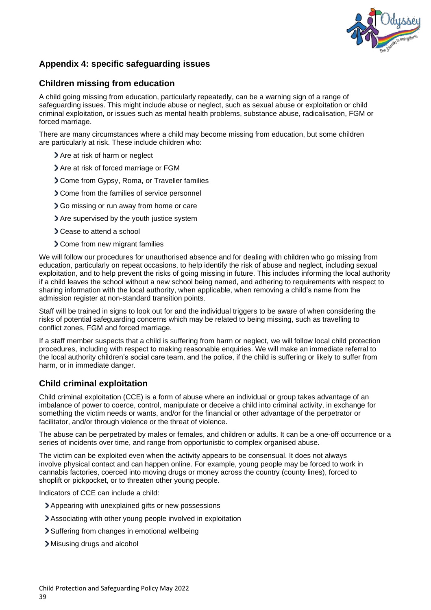

# <span id="page-38-0"></span>**Appendix 4: specific safeguarding issues**

# **Children missing from education**

A child going missing from education, particularly repeatedly, can be a warning sign of a range of safeguarding issues. This might include abuse or neglect, such as sexual abuse or exploitation or child criminal exploitation, or issues such as mental health problems, substance abuse, radicalisation, FGM or forced marriage.

There are many circumstances where a child may become missing from education, but some children are particularly at risk. These include children who:

- > Are at risk of harm or neglect
- Are at risk of forced marriage or FGM
- Come from Gypsy, Roma, or Traveller families
- Come from the families of service personnel
- Go missing or run away from home or care
- Are supervised by the youth justice system
- Cease to attend a school
- Come from new migrant families

We will follow our procedures for unauthorised absence and for dealing with children who go missing from education, particularly on repeat occasions, to help identify the risk of abuse and neglect, including sexual exploitation, and to help prevent the risks of going missing in future. This includes informing the local authority if a child leaves the school without a new school being named, and adhering to requirements with respect to sharing information with the local authority, when applicable, when removing a child's name from the admission register at non-standard transition points.

Staff will be trained in signs to look out for and the individual triggers to be aware of when considering the risks of potential safeguarding concerns which may be related to being missing, such as travelling to conflict zones, FGM and forced marriage.

If a staff member suspects that a child is suffering from harm or neglect, we will follow local child protection procedures, including with respect to making reasonable enquiries. We will make an immediate referral to the local authority children's social care team, and the police, if the child is suffering or likely to suffer from harm, or in immediate danger.

# **Child criminal exploitation**

Child criminal exploitation (CCE) is a form of abuse where an individual or group takes advantage of an imbalance of power to coerce, control, manipulate or deceive a child into criminal activity, in exchange for something the victim needs or wants, and/or for the financial or other advantage of the perpetrator or facilitator, and/or through violence or the threat of violence.

The abuse can be perpetrated by males or females, and children or adults. It can be a one-off occurrence or a series of incidents over time, and range from opportunistic to complex organised abuse.

The victim can be exploited even when the activity appears to be consensual. It does not always involve physical contact and can happen online. For example, young people may be forced to work in cannabis factories, coerced into moving drugs or money across the country (county lines), forced to shoplift or pickpocket, or to threaten other young people.

Indicators of CCE can include a child:

- Appearing with unexplained gifts or new possessions
- Associating with other young people involved in exploitation
- Suffering from changes in emotional wellbeing
- Misusing drugs and alcohol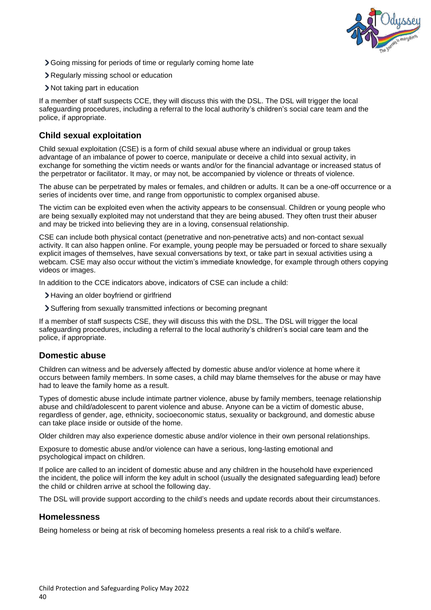

- Going missing for periods of time or regularly coming home late
- Regularly missing school or education
- Not taking part in education

If a member of staff suspects CCE, they will discuss this with the DSL. The DSL will trigger the local safeguarding procedures, including a referral to the local authority's children's social care team and the police, if appropriate.

# **Child sexual exploitation**

Child sexual exploitation (CSE) is a form of child sexual abuse where an individual or group takes advantage of an imbalance of power to coerce, manipulate or deceive a child into sexual activity, in exchange for something the victim needs or wants and/or for the financial advantage or increased status of the perpetrator or facilitator. It may, or may not, be accompanied by violence or threats of violence.

The abuse can be perpetrated by males or females, and children or adults. It can be a one-off occurrence or a series of incidents over time, and range from opportunistic to complex organised abuse.

The victim can be exploited even when the activity appears to be consensual. Children or young people who are being sexually exploited may not understand that they are being abused. They often trust their abuser and may be tricked into believing they are in a loving, consensual relationship.

CSE can include both physical contact (penetrative and non-penetrative acts) and non-contact sexual activity. It can also happen online. For example, young people may be persuaded or forced to share sexually explicit images of themselves, have sexual conversations by text, or take part in sexual activities using a webcam. CSE may also occur without the victim's immediate knowledge, for example through others copying videos or images.

In addition to the CCE indicators above, indicators of CSE can include a child:

- > Having an older boyfriend or girlfriend
- Suffering from sexually transmitted infections or becoming pregnant

If a member of staff suspects CSE, they will discuss this with the DSL. The DSL will trigger the local safeguarding procedures, including a referral to the local authority's children's social care team and the police, if appropriate.

#### **Domestic abuse**

Children can witness and be adversely affected by domestic abuse and/or violence at home where it occurs between family members. In some cases, a child may blame themselves for the abuse or may have had to leave the family home as a result.

Types of domestic abuse include intimate partner violence, abuse by family members, teenage relationship abuse and child/adolescent to parent violence and abuse. Anyone can be a victim of domestic abuse, regardless of gender, age, ethnicity, socioeconomic status, sexuality or background, and domestic abuse can take place inside or outside of the home.

Older children may also experience domestic abuse and/or violence in their own personal relationships.

Exposure to domestic abuse and/or violence can have a serious, long-lasting emotional and psychological impact on children.

If police are called to an incident of domestic abuse and any children in the household have experienced the incident, the police will inform the key adult in school (usually the designated safeguarding lead) before the child or children arrive at school the following day.

The DSL will provide support according to the child's needs and update records about their circumstances.

#### **Homelessness**

Being homeless or being at risk of becoming homeless presents a real risk to a child's welfare.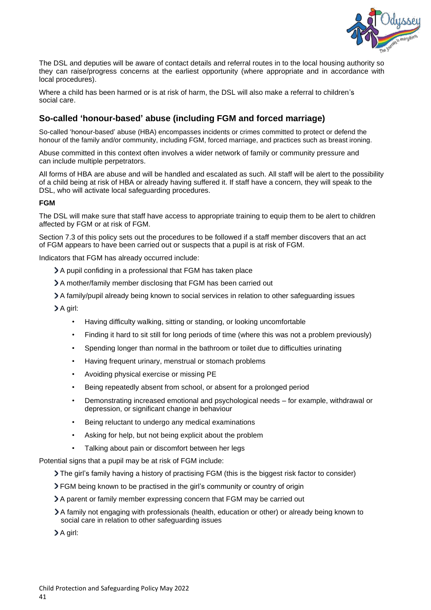

The DSL and deputies will be aware of contact details and referral routes in to the local housing authority so they can raise/progress concerns at the earliest opportunity (where appropriate and in accordance with local procedures).

Where a child has been harmed or is at risk of harm, the DSL will also make a referral to children's social care.

# **So-called 'honour-based' abuse (including FGM and forced marriage)**

So-called 'honour-based' abuse (HBA) encompasses incidents or crimes committed to protect or defend the honour of the family and/or community, including FGM, forced marriage, and practices such as breast ironing.

Abuse committed in this context often involves a wider network of family or community pressure and can include multiple perpetrators.

All forms of HBA are abuse and will be handled and escalated as such. All staff will be alert to the possibility of a child being at risk of HBA or already having suffered it. If staff have a concern, they will speak to the DSL, who will activate local safeguarding procedures.

#### **FGM**

The DSL will make sure that staff have access to appropriate training to equip them to be alert to children affected by FGM or at risk of FGM.

Section 7.3 of this policy sets out the procedures to be followed if a staff member discovers that an act of FGM appears to have been carried out or suspects that a pupil is at risk of FGM.

Indicators that FGM has already occurred include:

A pupil confiding in a professional that FGM has taken place

- A mother/family member disclosing that FGM has been carried out
- A family/pupil already being known to social services in relation to other safeguarding issues

A girl:

- Having difficulty walking, sitting or standing, or looking uncomfortable
- Finding it hard to sit still for long periods of time (where this was not a problem previously)
- Spending longer than normal in the bathroom or toilet due to difficulties urinating
- Having frequent urinary, menstrual or stomach problems
- Avoiding physical exercise or missing PE
- Being repeatedly absent from school, or absent for a prolonged period
- Demonstrating increased emotional and psychological needs for example, withdrawal or depression, or significant change in behaviour
- Being reluctant to undergo any medical examinations
- Asking for help, but not being explicit about the problem
- Talking about pain or discomfort between her legs

Potential signs that a pupil may be at risk of FGM include:

The girl's family having a history of practising FGM (this is the biggest risk factor to consider)

- FGM being known to be practised in the girl's community or country of origin
- A parent or family member expressing concern that FGM may be carried out
- A family not engaging with professionals (health, education or other) or already being known to social care in relation to other safeguarding issues

A girl: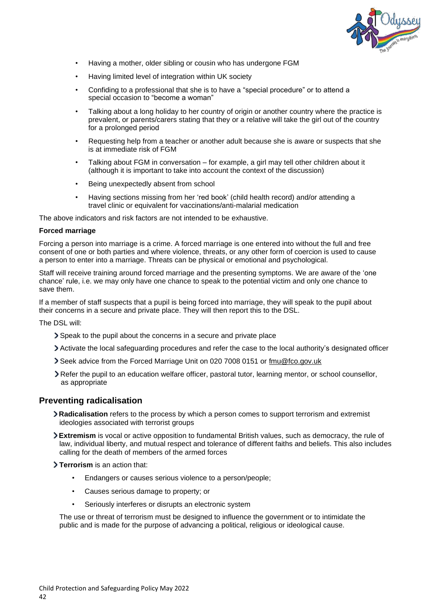

- Having a mother, older sibling or cousin who has undergone FGM
- Having limited level of integration within UK society
- Confiding to a professional that she is to have a "special procedure" or to attend a special occasion to "become a woman"
- Talking about a long holiday to her country of origin or another country where the practice is prevalent, or parents/carers stating that they or a relative will take the girl out of the country for a prolonged period
- Requesting help from a teacher or another adult because she is aware or suspects that she is at immediate risk of FGM
- Talking about FGM in conversation for example, a girl may tell other children about it (although it is important to take into account the context of the discussion)
- Being unexpectedly absent from school
- Having sections missing from her 'red book' (child health record) and/or attending a travel clinic or equivalent for vaccinations/anti-malarial medication

The above indicators and risk factors are not intended to be exhaustive.

#### **Forced marriage**

Forcing a person into marriage is a crime. A forced marriage is one entered into without the full and free consent of one or both parties and where violence, threats, or any other form of coercion is used to cause a person to enter into a marriage. Threats can be physical or emotional and psychological.

Staff will receive training around forced marriage and the presenting symptoms. We are aware of the 'one chance' rule, i.e. we may only have one chance to speak to the potential victim and only one chance to save them.

If a member of staff suspects that a pupil is being forced into marriage, they will speak to the pupil about their concerns in a secure and private place. They will then report this to the DSL.

The DSL will:

- Speak to the pupil about the concerns in a secure and private place
- Activate the local safeguarding procedures and refer the case to the local authority's designated officer
- Seek advice from the Forced Marriage Unit on 020 7008 0151 or [fmu@fco.gov.uk](mailto:fmu@fco.gov.uk)
- Refer the pupil to an education welfare officer, pastoral tutor, learning mentor, or school counsellor, as appropriate

#### **Preventing radicalisation**

- **Radicalisation** refers to the process by which a person comes to support terrorism and extremist ideologies associated with terrorist groups
- **Extremism** is vocal or active opposition to fundamental British values, such as democracy, the rule of law, individual liberty, and mutual respect and tolerance of different faiths and beliefs. This also includes calling for the death of members of the armed forces

**Terrorism** is an action that:

- Endangers or causes serious violence to a person/people;
- Causes serious damage to property; or
- Seriously interferes or disrupts an electronic system

The use or threat of terrorism must be designed to influence the government or to intimidate the public and is made for the purpose of advancing a political, religious or ideological cause.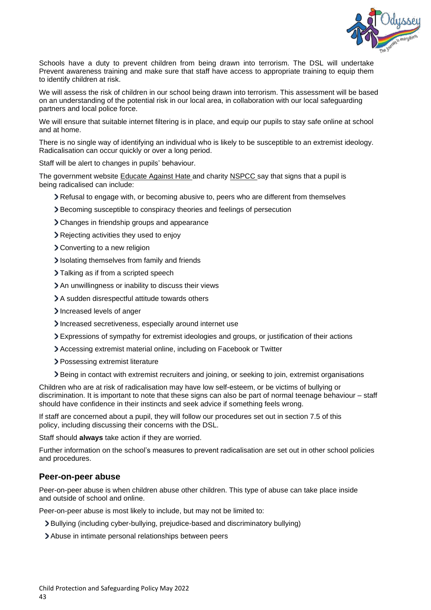

Schools have a duty to prevent children from being drawn into terrorism. The DSL will undertake Prevent awareness training and make sure that staff have access to appropriate training to equip them to identify children at risk.

We will assess the risk of children in our school being drawn into terrorism. This assessment will be based on an understanding of the potential risk in our local area, in collaboration with our local safeguarding partners and local police force.

We will ensure that suitable internet filtering is in place, and equip our pupils to stay safe online at school and at home.

There is no single way of identifying an individual who is likely to be susceptible to an extremist ideology. Radicalisation can occur quickly or over a long period.

Staff will be alert to changes in pupils' behaviour.

The government website [Educate Against](http://educateagainsthate.com/parents/what-are-the-warning-signs/) Hate and charity [NSPCC](https://www.nspcc.org.uk/what-you-can-do/report-abuse/dedicated-helplines/protecting-children-from-radicalisation/) say that signs that a pupil is being radicalised can include:

- Refusal to engage with, or becoming abusive to, peers who are different from themselves
- Becoming susceptible to conspiracy theories and feelings of persecution
- Changes in friendship groups and appearance
- Rejecting activities they used to enjoy
- Converting to a new religion
- Isolating themselves from family and friends
- > Talking as if from a scripted speech
- An unwillingness or inability to discuss their views
- A sudden disrespectful attitude towards others
- Increased levels of anger
- Increased secretiveness, especially around internet use
- Expressions of sympathy for extremist ideologies and groups, or justification of their actions
- Accessing extremist material online, including on Facebook or Twitter
- Possessing extremist literature
- Being in contact with extremist recruiters and joining, or seeking to join, extremist organisations

Children who are at risk of radicalisation may have low self-esteem, or be victims of bullying or discrimination. It is important to note that these signs can also be part of normal teenage behaviour – staff should have confidence in their instincts and seek advice if something feels wrong.

If staff are concerned about a pupil, they will follow our procedures set out in section 7.5 of this policy, including discussing their concerns with the DSL.

Staff should **always** take action if they are worried.

Further information on the school's measures to prevent radicalisation are set out in other school policies and procedures.

#### **Peer-on-peer abuse**

Peer-on-peer abuse is when children abuse other children. This type of abuse can take place inside and outside of school and online.

Peer-on-peer abuse is most likely to include, but may not be limited to:

- Bullying (including cyber-bullying, prejudice-based and discriminatory bullying)
- Abuse in intimate personal relationships between peers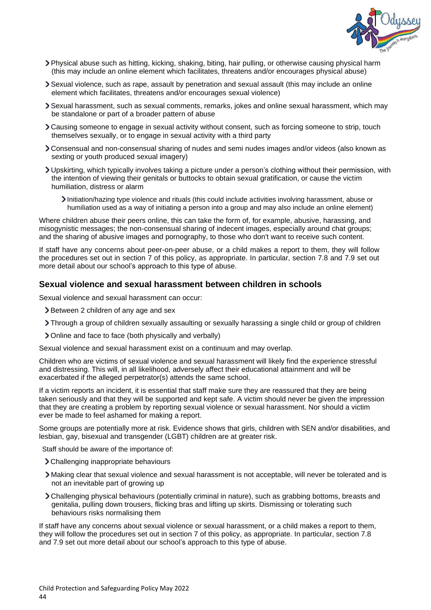

- Physical abuse such as hitting, kicking, shaking, biting, hair pulling, or otherwise causing physical harm (this may include an online element which facilitates, threatens and/or encourages physical abuse)
- Sexual violence, such as rape, assault by penetration and sexual assault (this may include an online element which facilitates, threatens and/or encourages sexual violence)
- Sexual harassment, such as sexual comments, remarks, jokes and online sexual harassment, which may be standalone or part of a broader pattern of abuse
- Causing someone to engage in sexual activity without consent, such as forcing someone to strip, touch themselves sexually, or to engage in sexual activity with a third party
- Consensual and non-consensual sharing of nudes and semi nudes images and/or videos (also known as sexting or youth produced sexual imagery)
- Upskirting, which typically involves taking a picture under a person's clothing without their permission, with the intention of viewing their genitals or buttocks to obtain sexual gratification, or cause the victim humiliation, distress or alarm
	- Initiation/hazing type violence and rituals (this could include activities involving harassment, abuse or humiliation used as a way of initiating a person into a group and may also include an online element)

Where children abuse their peers online, this can take the form of, for example, abusive, harassing, and misogynistic messages; the non-consensual sharing of indecent images, especially around chat groups; and the sharing of abusive images and pornography, to those who don't want to receive such content.

If staff have any concerns about peer-on-peer abuse, or a child makes a report to them, they will follow the procedures set out in section 7 of this policy, as appropriate. In particular, section 7.8 and 7.9 set out more detail about our school's approach to this type of abuse.

# **Sexual violence and sexual harassment between children in schools**

Sexual violence and sexual harassment can occur:

- **>** Between 2 children of any age and sex
- Through a group of children sexually assaulting or sexually harassing a single child or group of children
- Online and face to face (both physically and verbally)

Sexual violence and sexual harassment exist on a continuum and may overlap.

Children who are victims of sexual violence and sexual harassment will likely find the experience stressful and distressing. This will, in all likelihood, adversely affect their educational attainment and will be exacerbated if the alleged perpetrator(s) attends the same school.

If a victim reports an incident, it is essential that staff make sure they are reassured that they are being taken seriously and that they will be supported and kept safe. A victim should never be given the impression that they are creating a problem by reporting sexual violence or sexual harassment. Nor should a victim ever be made to feel ashamed for making a report.

Some groups are potentially more at risk. Evidence shows that girls, children with SEN and/or disabilities, and lesbian, gay, bisexual and transgender (LGBT) children are at greater risk.

Staff should be aware of the importance of:

- Challenging inappropriate behaviours
- Making clear that sexual violence and sexual harassment is not acceptable, will never be tolerated and is not an inevitable part of growing up
- Challenging physical behaviours (potentially criminal in nature), such as grabbing bottoms, breasts and genitalia, pulling down trousers, flicking bras and lifting up skirts. Dismissing or tolerating such behaviours risks normalising them

If staff have any concerns about sexual violence or sexual harassment, or a child makes a report to them, they will follow the procedures set out in section 7 of this policy, as appropriate. In particular, section 7.8 and 7.9 set out more detail about our school's approach to this type of abuse.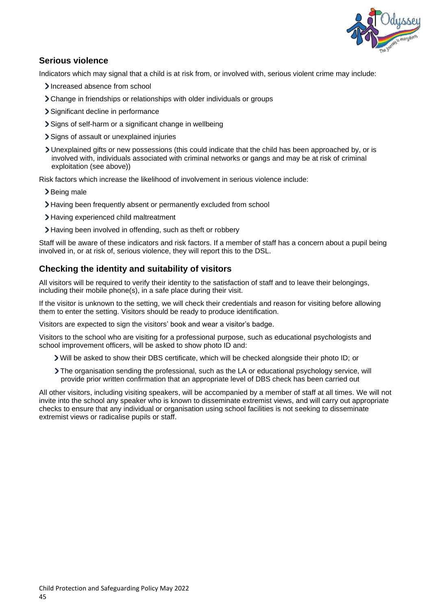

# **Serious violence**

Indicators which may signal that a child is at risk from, or involved with, serious violent crime may include:

- Increased absence from school
- Change in friendships or relationships with older individuals or groups
- Significant decline in performance
- Signs of self-harm or a significant change in wellbeing
- Signs of assault or unexplained injuries
- Unexplained gifts or new possessions (this could indicate that the child has been approached by, or is involved with, individuals associated with criminal networks or gangs and may be at risk of criminal exploitation (see above))

Risk factors which increase the likelihood of involvement in serious violence include:

- > Being male
- Having been frequently absent or permanently excluded from school
- > Having experienced child maltreatment
- Having been involved in offending, such as theft or robbery

Staff will be aware of these indicators and risk factors. If a member of staff has a concern about a pupil being involved in, or at risk of, serious violence, they will report this to the DSL.

# **Checking the identity and suitability of visitors**

All visitors will be required to verify their identity to the satisfaction of staff and to leave their belongings, including their mobile phone(s), in a safe place during their visit.

If the visitor is unknown to the setting, we will check their credentials and reason for visiting before allowing them to enter the setting. Visitors should be ready to produce identification.

Visitors are expected to sign the visitors' book and wear a visitor's badge.

Visitors to the school who are visiting for a professional purpose, such as educational psychologists and school improvement officers, will be asked to show photo ID and:

- Will be asked to show their DBS certificate, which will be checked alongside their photo ID; or
- The organisation sending the professional, such as the LA or educational psychology service, will provide prior written confirmation that an appropriate level of DBS check has been carried out

All other visitors, including visiting speakers, will be accompanied by a member of staff at all times. We will not invite into the school any speaker who is known to disseminate extremist views, and will carry out appropriate checks to ensure that any individual or organisation using school facilities is not seeking to disseminate extremist views or radicalise pupils or staff.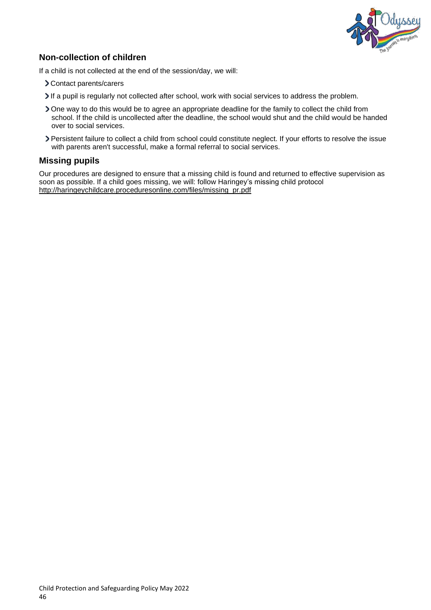

# **Non-collection of children**

If a child is not collected at the end of the session/day, we will:

- Contact parents/carers
- If a pupil is regularly not collected after school, work with social services to address the problem.
- One way to do this would be to agree an appropriate deadline for the family to collect the child from school. If the child is uncollected after the deadline, the school would shut and the child would be handed over to social services.
- Persistent failure to collect a child from school could constitute neglect. If your efforts to resolve the issue with parents aren't successful, make a formal referral to social services.

# **Missing pupils**

Our procedures are designed to ensure that a missing child is found and returned to effective supervision as soon as possible. If a child goes missing, we will: follow Haringey's missing child protocol http://haringeychildcare.proceduresonline.com/files/missing\_pr.pdf